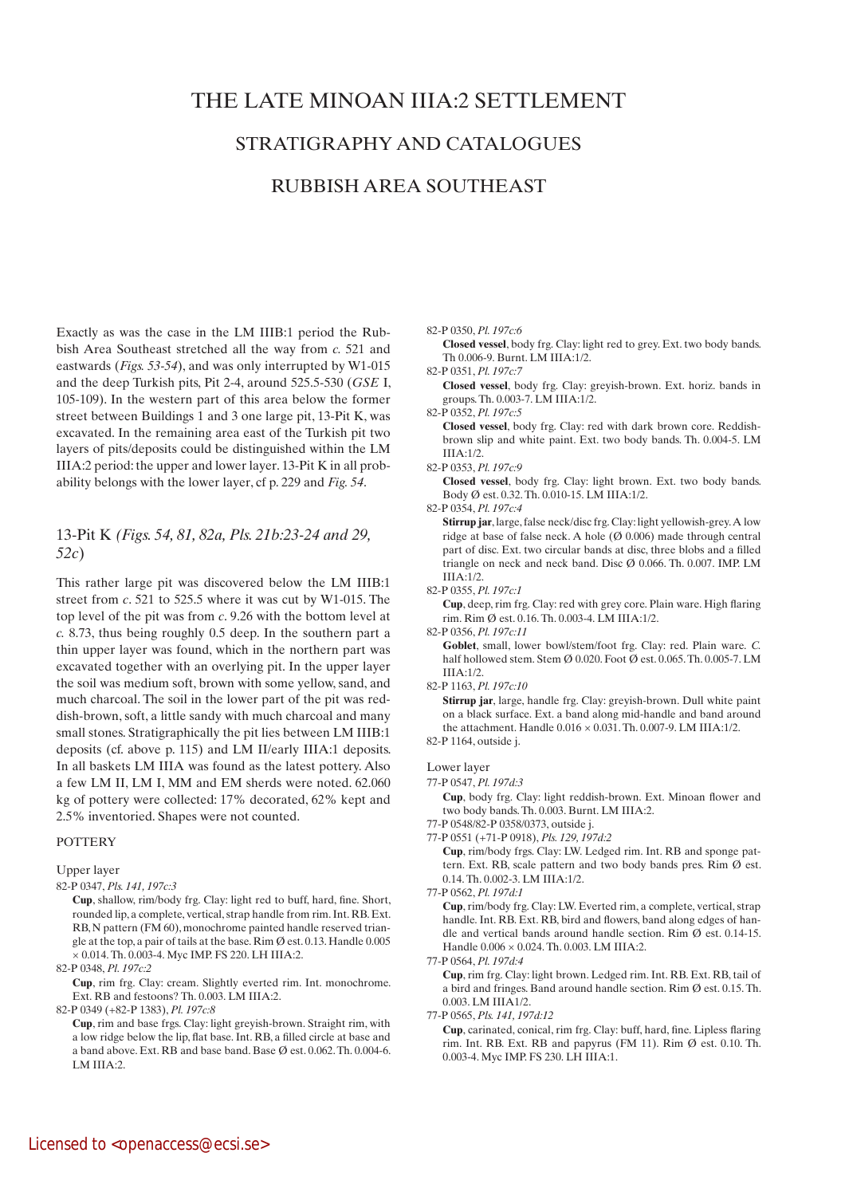# THE LATE MINOAN IIIA:2 SETTLEMENT

# STRATIGRAPHY AND CATALOGUES

# RUBBISH AREA SOUTHEAST

Exactly as was the case in the LM IIIB:1 period the Rubbish Area Southeast stretched all the way from *c.* 521 and eastwards (*Figs. 53-54*), and was only interrupted by W1-015 and the deep Turkish pits, Pit 2-4, around 525.5-530 (*GSE* I, 105-109). In the western part of this area below the former street between Buildings 1 and 3 one large pit, 13-Pit K, was excavated. In the remaining area east of the Turkish pit two layers of pits/deposits could be distinguished within the LM IIIA:2 period: the upper and lower layer. 13-Pit K in all probability belongs with the lower layer, cf p. 229 and *Fig. 54*.

# 13-Pit K *(Figs. 54, 81, 82a, Pls. 21b:23-24 and 29, 52c*)

This rather large pit was discovered below the LM IIIB:1 street from *c*. 521 to 525.5 where it was cut by W1-015. The top level of the pit was from *c*. 9.26 with the bottom level at *c.* 8.73, thus being roughly 0.5 deep. In the southern part a thin upper layer was found, which in the northern part was excavated together with an overlying pit. In the upper layer the soil was medium soft, brown with some yellow, sand, and much charcoal. The soil in the lower part of the pit was reddish-brown, soft, a little sandy with much charcoal and many small stones. Stratigraphically the pit lies between LM IIIB:1 deposits (cf. above p. 115) and LM II/early IIIA:1 deposits. In all baskets LM IIIA was found as the latest pottery. Also a few LM II, LM I, MM and EM sherds were noted. 62.060 kg of pottery were collected: 17% decorated, 62% kept and 2.5% inventoried. Shapes were not counted.

## POTTERY

Upper layer

82-P 0347, *Pls. 141, 197c:3*

 **Cup**, shallow, rim/body frg. Clay: light red to buff, hard, fine. Short, rounded lip, a complete, vertical, strap handle from rim. Int. RB. Ext. RB, N pattern (FM 60), monochrome painted handle reserved triangle at the top, a pair of tails at the base. Rim  $\emptyset$  est. 0.13. Handle 0.005 × 0.014. Th. 0.003-4. Myc IMP. FS 220. LH IIIA:2.

82-P 0348, *Pl. 197c:2*

 **Cup**, rim frg. Clay: cream. Slightly everted rim. Int. monochrome. Ext. RB and festoons? Th. 0.003. LM IIIA:2.

82-P 0349 (+82-P 1383), *Pl. 197c:8*

 **Cup**, rim and base frgs. Clay: light greyish-brown. Straight rim, with a low ridge below the lip, flat base. Int. RB, a filled circle at base and a band above. Ext. RB and base band. Base Ø est. 0.062. Th. 0.004-6. LM IIIA:2.

82-P 0350, *Pl. 197c:6*

 **Closed vessel**, body frg. Clay: light red to grey. Ext. two body bands. Th 0.006-9. Burnt. LM IIIA:1/2.

82-P 0351, *Pl. 197c:7*

- **Closed vessel**, body frg. Clay: greyish-brown. Ext. horiz. bands in groups. Th. 0.003-7. LM IIIA:1/2.
- 82-P 0352, *Pl. 197c:5*

 **Closed vessel**, body frg. Clay: red with dark brown core. Reddishbrown slip and white paint. Ext. two body bands. Th. 0.004-5. LM IIIA:1/2.

82-P 0353, *Pl. 197c:9*

 **Closed vessel**, body frg. Clay: light brown. Ext. two body bands. Body Ø est. 0.32. Th. 0.010-15. LM IIIA:1/2.

82-P 0354, *Pl. 197c:4*

**Stirrup jar**, large, false neck/disc frg. Clay: light yellowish-grey. A low ridge at base of false neck. A hole (Ø 0.006) made through central part of disc. Ext. two circular bands at disc, three blobs and a filled triangle on neck and neck band. Disc Ø 0.066. Th. 0.007. IMP. LM IIIA:1/2.

82-P 0355, *Pl. 197c:1*

 **Cup**, deep, rim frg. Clay: red with grey core. Plain ware. High flaring rim. Rim Ø est. 0.16. Th. 0.003-4. LM IIIA:1/2.

82-P 0356, *Pl. 197c:11*

 **Goblet**, small, lower bowl/stem/foot frg. Clay: red. Plain ware. *C.*  half hollowed stem. Stem Ø 0.020. Foot Ø est. 0.065. Th. 0.005-7. LM  $IIIA:1/2.$ 

82-P 1163, *Pl. 197c:10*

 **Stirrup jar**, large, handle frg. Clay: greyish-brown. Dull white paint on a black surface. Ext. a band along mid-handle and band around the attachment. Handle 0.016 × 0.031. Th. 0.007-9. LM IIIA:1/2.

82-P 1164, outside j.

## Lower layer

77-P 0547, *Pl. 197d:3*

 **Cup**, body frg. Clay: light reddish-brown. Ext. Minoan flower and two body bands. Th. 0.003. Burnt. LM IIIA:2.

77-P 0548/82-P 0358/0373, outside j.

77-P 0551 (+71-P 0918), *Pls. 129, 197d:2*

 **Cup**, rim/body frgs. Clay: LW. Ledged rim. Int. RB and sponge pattern. Ext. RB, scale pattern and two body bands pres. Rim Ø est. 0.14. Th. 0.002-3. LM IIIA:1/2.

77-P 0562, *Pl. 197d:1*

 **Cup**, rim/body frg. Clay: LW. Everted rim, a complete, vertical, strap handle. Int. RB. Ext. RB, bird and flowers, band along edges of handle and vertical bands around handle section. Rim Ø est. 0.14-15. Handle 0.006 × 0.024. Th. 0.003. LM IIIA:2.

77-P 0564, *Pl. 197d:4*

 **Cup**, rim frg. Clay: light brown. Ledged rim. Int. RB. Ext. RB, tail of a bird and fringes. Band around handle section. Rim Ø est. 0.15. Th. 0.003. LM IIIA1/2.

77-P 0565, *Pls. 141, 197d:12* 

 **Cup**, carinated, conical, rim frg. Clay: buff, hard, fine. Lipless flaring rim. Int. RB. Ext. RB and papyrus (FM 11). Rim  $\emptyset$  est. 0.10. Th. 0.003-4. Myc IMP. FS 230. LH IIIA:1.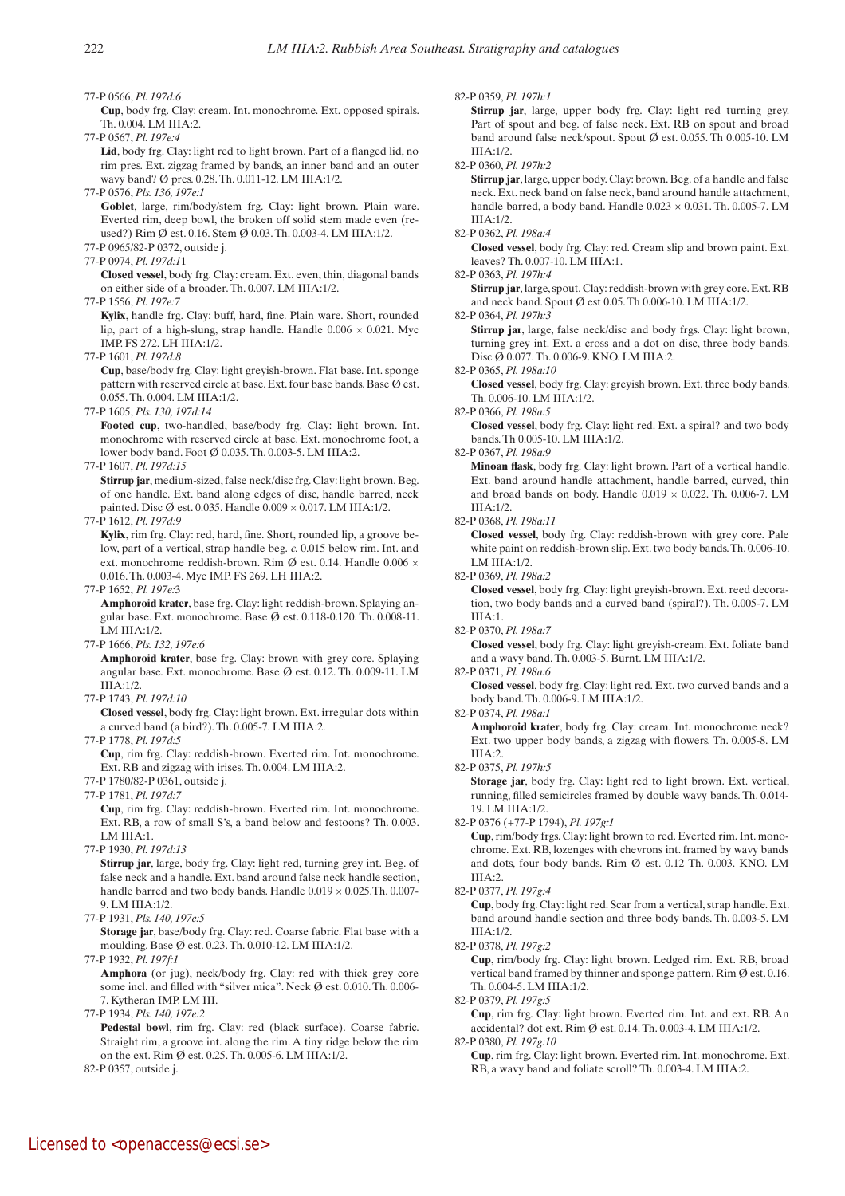77-P 0566, *Pl. 197d:6*

 **Cup**, body frg. Clay: cream. Int. monochrome. Ext. opposed spirals. Th. 0.004. LM IIIA:2.

77-P 0567, *Pl. 197e:4*

Lid, body frg. Clay: light red to light brown. Part of a flanged lid, no rim pres. Ext. zigzag framed by bands, an inner band and an outer wavy band? Ø pres. 0.28. Th. 0.011-12. LM IIIA:1/2.

77-P 0576, *Pls. 136, 197e:1*

Goblet, large, rim/body/stem frg. Clay: light brown. Plain ware. Everted rim, deep bowl, the broken off solid stem made even (reused?) Rim Ø est. 0.16. Stem Ø 0.03. Th. 0.003-4. LM IIIA:1/2.

77-P 0965/82-P 0372, outside j.

77-P 0974, *Pl. 197d:1*1

 **Closed vessel**, body frg. Clay: cream. Ext. even, thin, diagonal bands on either side of a broader. Th. 0.007. LM IIIA:1/2.

77-P 1556, *Pl. 197e:7*

 **Kylix**, handle frg. Clay: buff, hard, fine. Plain ware. Short, rounded lip, part of a high-slung, strap handle. Handle  $0.006 \times 0.021$ . Myc IMP. FS 272. LH IIIA:1/2.

77-P 1601, *Pl. 197d:8*

 **Cup**, base/body frg. Clay: light greyish-brown. Flat base. Int. sponge pattern with reserved circle at base. Ext. four base bands. Base Ø est. 0.055. Th. 0.004. LM IIIA:1/2.

77-P 1605, *Pls. 130, 197d:14* 

 **Footed cup**, two-handled, base/body frg. Clay: light brown. Int. monochrome with reserved circle at base. Ext. monochrome foot, a lower body band. Foot Ø 0.035. Th. 0.003-5. LM IIIA:2.

77-P 1607, *Pl. 197d:15*

**Stirrup jar**, medium-sized, false neck/disc frg. Clay: light brown. Beg. of one handle. Ext. band along edges of disc, handle barred, neck painted. Disc  $\emptyset$  est. 0.035. Handle 0.009  $\times$  0.017. LM IIIA:1/2.

77-P 1612, *Pl. 197d:9*

 **Kylix**, rim frg. Clay: red, hard, fine. Short, rounded lip, a groove below, part of a vertical, strap handle beg. *c.* 0.015 below rim. Int. and ext. monochrome reddish-brown. Rim Ø est. 0.14. Handle 0.006 × 0.016. Th. 0.003-4. Myc IMP. FS 269. LH IIIA:2.

77-P 1652, *Pl. 197e:*3

 **Amphoroid krater**, base frg. Clay: light reddish-brown. Splaying angular base. Ext. monochrome. Base Ø est. 0.118-0.120. Th. 0.008-11. LM IIIA:1/2.

77-P 1666, *Pls. 132, 197e:6*

 **Amphoroid krater**, base frg. Clay: brown with grey core. Splaying angular base. Ext. monochrome. Base Ø est. 0.12. Th. 0.009-11. LM IIIA:1/2.

77-P 1743, *Pl. 197d:10*

 **Closed vessel**, body frg. Clay: light brown. Ext. irregular dots within a curved band (a bird?). Th. 0.005-7. LM IIIA:2.

77-P 1778, *Pl. 197d:5*

 **Cup**, rim frg. Clay: reddish-brown. Everted rim. Int. monochrome. Ext. RB and zigzag with irises. Th. 0.004. LM IIIA:2.

77-P 1780/82-P 0361, outside j.

77-P 1781, *Pl. 197d:7*

 **Cup**, rim frg. Clay: reddish-brown. Everted rim. Int. monochrome. Ext. RB, a row of small S's, a band below and festoons? Th. 0.003. LM IIIA:1.

77-P 1930, *Pl. 197d:13*

**Stirrup jar**, large, body frg. Clay: light red, turning grey int. Beg. of false neck and a handle. Ext. band around false neck handle section, handle barred and two body bands. Handle 0.019 × 0.025.Th. 0.007- 9. LM IIIA:1/2.

77-P 1931, *Pls. 140, 197e:5*

 **Storage jar**, base/body frg. Clay: red. Coarse fabric. Flat base with a moulding. Base Ø est. 0.23. Th. 0.010-12. LM IIIA:1/2.

77-P 1932, *Pl. 197f:1*

**Amphora** (or jug), neck/body frg. Clay: red with thick grey core some incl. and filled with "silver mica". Neck Ø est. 0.010. Th. 0.006- 7. Kytheran IMP. LM III.

77-P 1934, *Pls. 140, 197e:2* 

 **Pedestal bowl**, rim frg. Clay: red (black surface). Coarse fabric. Straight rim, a groove int. along the rim. A tiny ridge below the rim on the ext. Rim Ø est. 0.25. Th. 0.005-6. LM IIIA:1/2.

82-P 0357, outside j.

### 82-P 0359, *Pl. 197h:1*

 **Stirrup jar**, large, upper body frg. Clay: light red turning grey. Part of spout and beg. of false neck. Ext. RB on spout and broad band around false neck/spout. Spout Ø est. 0.055. Th 0.005-10. LM  $IIIA:1/2.$ 

82-P 0360, *Pl. 197h:2*

 **Stirrup jar**, large, upper body. Clay: brown. Beg. of a handle and false neck. Ext. neck band on false neck, band around handle attachment, handle barred, a body band. Handle 0.023 × 0.031. Th. 0.005-7. LM IIIA:1/2.

#### 82-P 0362, *Pl. 198a:4*

 **Closed vessel**, body frg. Clay: red. Cream slip and brown paint. Ext. leaves? Th. 0.007-10. LM IIIA:1.

82-P 0363, *Pl. 197h:4*

 **Stirrup jar**, large, spout. Clay: reddish-brown with grey core. Ext. RB and neck band. Spout Ø est 0.05. Th 0.006-10. LM IIIA:1/2.

82-P 0364, *Pl. 197h:3*

 **Stirrup jar**, large, false neck/disc and body frgs. Clay: light brown, turning grey int. Ext. a cross and a dot on disc, three body bands. Disc Ø 0.077. Th. 0.006-9. KNO. LM IIIA:2.

#### 82-P 0365, *Pl. 198a:10*

 **Closed vessel**, body frg. Clay: greyish brown. Ext. three body bands. Th. 0.006-10. LM IIIA:1/2.

82-P 0366, *Pl. 198a:5*

 **Closed vessel**, body frg. Clay: light red. Ext. a spiral? and two body bands. Th 0.005-10. LM IIIA:1/2.

82-P 0367, *Pl. 198a:9*

 **Minoan flask**, body frg. Clay: light brown. Part of a vertical handle. Ext. band around handle attachment, handle barred, curved, thin and broad bands on body. Handle  $0.019 \times 0.022$ . Th. 0.006-7. LM IIIA:1/2.

82-P 0368, *Pl. 198a:11*

 **Closed vessel**, body frg. Clay: reddish-brown with grey core. Pale white paint on reddish-brown slip. Ext. two body bands. Th. 0.006-10. LM IIIA:1/2.

82-P 0369, *Pl. 198a:2*

 **Closed vessel**, body frg. Clay: light greyish-brown. Ext. reed decoration, two body bands and a curved band (spiral?). Th. 0.005-7. LM IIIA:1.

82-P 0370, *Pl. 198a:7*

 **Closed vessel**, body frg. Clay: light greyish-cream. Ext. foliate band and a wavy band. Th. 0.003-5. Burnt. LM IIIA:1/2.

82-P 0371, *Pl. 198a:6*

 **Closed vessel**, body frg. Clay: light red. Ext. two curved bands and a body band. Th. 0.006-9. LM IIIA:1/2.

82-P 0374, *Pl. 198a:1*

 **Amphoroid krater**, body frg. Clay: cream. Int. monochrome neck? Ext. two upper body bands, a zigzag with flowers. Th. 0.005-8. LM IIIA:2.

82-P 0375, *Pl. 197h:5*

**Storage** jar, body frg. Clay: light red to light brown. Ext. vertical, running, filled semicircles framed by double wavy bands. Th. 0.014- 19. LM IIIA:1/2.

82-P 0376 (+77-P 1794), *Pl. 197g:1* 

 **Cup**, rim/body frgs. Clay: light brown to red. Everted rim. Int. monochrome. Ext. RB, lozenges with chevrons int. framed by wavy bands and dots, four body bands. Rim Ø est. 0.12 Th. 0.003. KNO. LM IIIA:2.

82-P 0377, *Pl. 197g:4*

 **Cup**, body frg. Clay: light red. Scar from a vertical, strap handle. Ext. band around handle section and three body bands. Th. 0.003-5. LM IIIA:1/2.

82-P 0378, *Pl. 197g:2*

 **Cup**, rim/body frg. Clay: light brown. Ledged rim. Ext. RB, broad vertical band framed by thinner and sponge pattern. Rim Ø est. 0.16. Th. 0.004-5. LM IIIA:1/2.

82-P 0379, *Pl. 197g:5*

 **Cup**, rim frg. Clay: light brown. Everted rim. Int. and ext. RB. An accidental? dot ext. Rim Ø est. 0.14. Th. 0.003-4. LM IIIA:1/2. 82-P 0380, *Pl. 197g:10*

 **Cup**, rim frg. Clay: light brown. Everted rim. Int. monochrome. Ext. RB, a wavy band and foliate scroll? Th. 0.003-4. LM IIIA:2.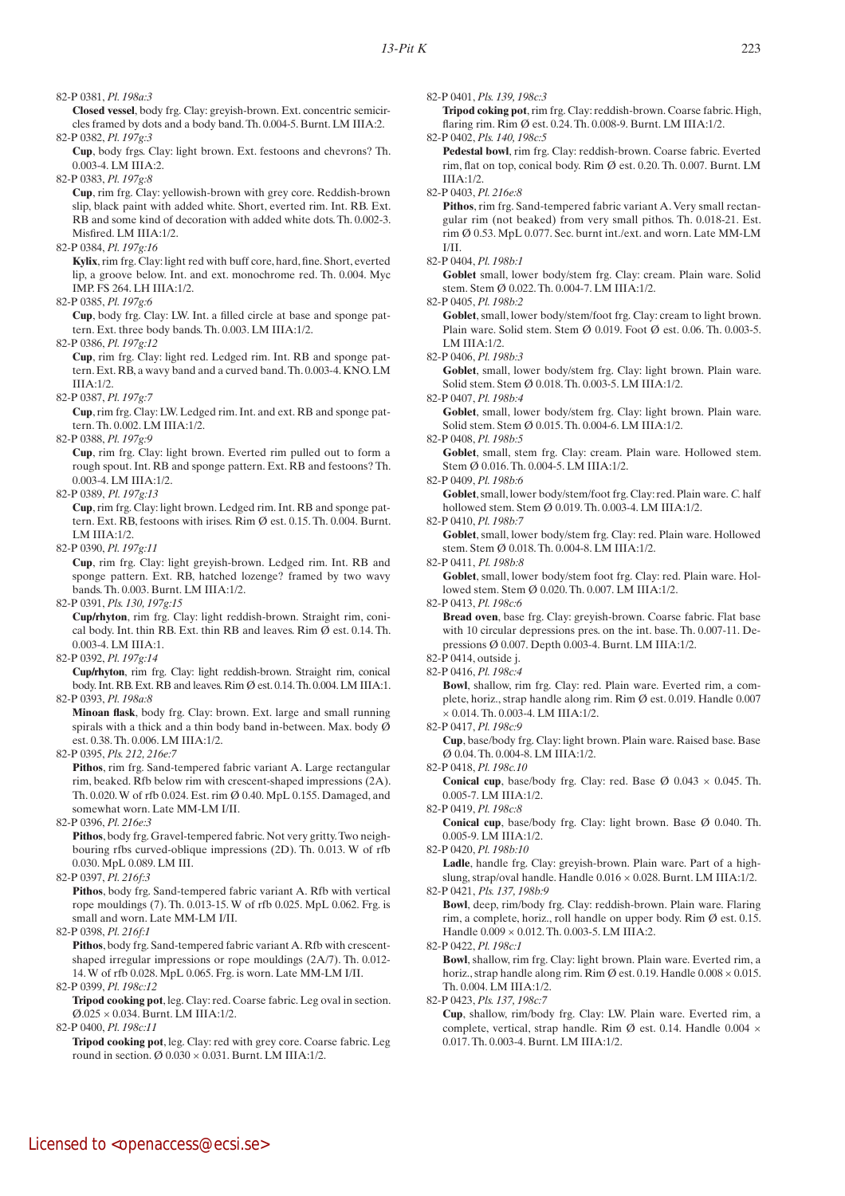82-P 0381, *Pl. 198a:3*

 **Closed vessel**, body frg. Clay: greyish-brown. Ext. concentric semicircles framed by dots and a body band. Th. 0.004-5. Burnt. LM IIIA:2. 82-P 0382, *Pl. 197g:3*

 **Cup**, body frgs. Clay: light brown. Ext. festoons and chevrons? Th. 0.003-4. LM IIIA:2.

82-P 0383, *Pl. 197g:8*

 **Cup**, rim frg. Clay: yellowish-brown with grey core. Reddish-brown slip, black paint with added white. Short, everted rim. Int. RB. Ext. RB and some kind of decoration with added white dots. Th. 0.002-3. Misfired. LM IIIA:1/2.

82-P 0384, *Pl. 197g:16*

 **Kylix**, rim frg. Clay: light red with buff core, hard, fine. Short, everted lip, a groove below. Int. and ext. monochrome red. Th. 0.004. Myc IMP. FS 264. LH IIIA:1/2.

82-P 0385, *Pl. 197g:6*

 **Cup**, body frg. Clay: LW. Int. a filled circle at base and sponge pattern. Ext. three body bands. Th. 0.003. LM IIIA:1/2.

82-P 0386, *Pl. 197g:12*

 **Cup**, rim frg. Clay: light red. Ledged rim. Int. RB and sponge pattern. Ext. RB, a wavy band and a curved band. Th. 0.003-4. KNO. LM  $IIIA:1/2$ .

82-P 0387, *Pl. 197g:7*

 **Cup**, rim frg. Clay: LW. Ledged rim. Int. and ext. RB and sponge pattern. Th. 0.002. LM IIIA:1/2.

82-P 0388, *Pl. 197g:9*

 **Cup**, rim frg. Clay: light brown. Everted rim pulled out to form a rough spout. Int. RB and sponge pattern. Ext. RB and festoons? Th. 0.003-4. LM IIIA:1/2.

82-P 0389, *Pl. 197g:13*

 **Cup**, rim frg. Clay: light brown. Ledged rim. Int. RB and sponge pattern. Ext. RB, festoons with irises. Rim Ø est. 0.15. Th. 0.004. Burnt. LM IIIA:1/2.

82-P 0390, *Pl. 197g:11*

 **Cup**, rim frg. Clay: light greyish-brown. Ledged rim. Int. RB and sponge pattern. Ext. RB, hatched lozenge? framed by two wavy bands. Th. 0.003. Burnt. LM IIIA:1/2.

82-P 0391, *Pls. 130, 197g:15*

 **Cup/rhyton**, rim frg. Clay: light reddish-brown. Straight rim, conical body. Int. thin RB. Ext. thin RB and leaves. Rim  $\overline{Q}$  est. 0.14. Th. 0.003-4. LM IIIA:1.

82-P 0392, *Pl. 197g:14*

 **Cup/rhyton**, rim frg. Clay: light reddish-brown. Straight rim, conical body. Int. RB. Ext. RB and leaves. Rim Ø est. 0.14. Th. 0.004. LM IIIA:1. 82-P 0393, *Pl. 198a:8*

 **Minoan flask**, body frg. Clay: brown. Ext. large and small running spirals with a thick and a thin body band in-between. Max. body Ø est. 0.38. Th. 0.006. LM IIIA:1/2.

82-P 0395, *Pls. 212, 216e:7*

 **Pithos**, rim frg. Sand-tempered fabric variant A. Large rectangular rim, beaked. Rfb below rim with crescent-shaped impressions (2A). Th. 0.020. W of rfb 0.024. Est. rim Ø 0.40. MpL 0.155. Damaged, and somewhat worn. Late MM-LM I/II.

82-P 0396, *Pl. 216e:3*

 **Pithos**, body frg. Gravel-tempered fabric. Not very gritty. Two neighbouring rfbs curved-oblique impressions (2D). Th. 0.013. W of rfb 0.030. MpL 0.089. LM III.

82-P 0397, *Pl. 216f:3*

 **Pithos**, body frg. Sand-tempered fabric variant A. Rfb with vertical rope mouldings (7). Th. 0.013-15. W of rfb 0.025. MpL 0.062. Frg. is small and worn. Late MM-LM I/II.

82-P 0398, *Pl. 216f:1*

 **Pithos**, body frg. Sand-tempered fabric variant A. Rfb with crescentshaped irregular impressions or rope mouldings (2A/7). Th. 0.012- 14. W of rfb 0.028. MpL 0.065. Frg. is worn. Late MM-LM I/II.

82-P 0399, *Pl. 198c:12*

 **Tripod cooking pot**, leg. Clay: red. Coarse fabric. Leg oval in section.  $\varnothing.025\times0.034.$  Burnt. LM IIIA:1/2.

82-P 0400, *Pl. 198c:11*

 **Tripod cooking pot**, leg. Clay: red with grey core. Coarse fabric. Leg round in section.  $\varnothing$  0.030  $\times$  0.031. Burnt. LM IIIA:1/2.

82-P 0401, *Pls. 139, 198c:3*

 **Tripod coking pot**, rim frg. Clay: reddish-brown. Coarse fabric. High, flaring rim. Rim Ø est. 0.24. Th. 0.008-9. Burnt. LM IIIA:1/2.

82-P 0402, *Pls. 140, 198c:5*  **Pedestal bowl**, rim frg. Clay: reddish-brown. Coarse fabric. Everted rim, flat on top, conical body. Rim Ø est. 0.20. Th. 0.007. Burnt. LM IIIA:1/2.

82-P 0403, *Pl. 216e:8*

 **Pithos**, rim frg. Sand-tempered fabric variant A. Very small rectangular rim (not beaked) from very small pithos. Th. 0.018-21. Est. rim Ø 0.53. MpL 0.077. Sec. burnt int./ext. and worn. Late MM-LM I/II.

Goblet small, lower body/stem frg. Clay: cream. Plain ware. Solid stem. Stem Ø 0.022. Th. 0.004-7. LM IIIA:1/2.

82-P 0405, *Pl. 198b:2*

Goblet, small, lower body/stem/foot frg. Clay: cream to light brown. Plain ware. Solid stem. Stem Ø 0.019. Foot Ø est. 0.06. Th. 0.003-5. LM IIIA:1/2.

82-P 0406, *Pl. 198b:3*

Goblet, small, lower body/stem frg. Clay: light brown. Plain ware. Solid stem. Stem Ø 0.018. Th. 0.003-5. LM IIIA:1/2.

82-P 0407, *Pl. 198b:4*

Goblet, small, lower body/stem frg. Clay: light brown. Plain ware. Solid stem. Stem Ø 0.015. Th. 0.004-6. LM IIIA:1/2.

82-P 0408, *Pl. 198b:5*

 **Goblet**, small, stem frg. Clay: cream. Plain ware. Hollowed stem. Stem Ø 0.016. Th. 0.004-5. LM IIIA:1/2.

82-P 0409, *Pl. 198b:6*

 **Goblet**, small, lower body/stem/foot frg. Clay: red. Plain ware. *C.* half hollowed stem. Stem Ø 0.019. Th. 0.003-4. LM IIIA:1/2.

82-P 0410, *Pl. 198b:7*

Goblet, small, lower body/stem frg. Clay: red. Plain ware. Hollowed stem. Stem Ø 0.018. Th. 0.004-8. LM IIIA:1/2.

82-P 0411, *Pl. 198b:8*

Goblet, small, lower body/stem foot frg. Clay: red. Plain ware. Hollowed stem. Stem Ø 0.020. Th. 0.007. LM IIIA:1/2.

82-P 0413, *Pl. 198c:6*

 **Bread oven**, base frg. Clay: greyish-brown. Coarse fabric. Flat base with 10 circular depressions pres. on the int. base. Th. 0.007-11. Depressions Ø 0.007. Depth 0.003-4. Burnt. LM IIIA:1/2.

82-P 0414, outside j.

82-P 0416, *Pl. 198c:4*

 **Bowl**, shallow, rim frg. Clay: red. Plain ware. Everted rim, a complete, horiz., strap handle along rim. Rim Ø est. 0.019. Handle 0.007 × 0.014. Th. 0.003-4. LM IIIA:1/2.

82-P 0417, *Pl. 198c:9*

 **Cup**, base/body frg. Clay: light brown. Plain ware. Raised base. Base Ø 0.04. Th. 0.004-8. LM IIIA:1/2.

82-P 0418, *Pl. 198c.10*

**Conical cup**, base/body frg. Clay: red. Base  $\varnothing$  0.043  $\times$  0.045. Th. 0.005-7. LM IIIA:1/2.

82-P 0419, *Pl. 198c:8*

 **Conical cup**, base/body frg. Clay: light brown. Base Ø 0.040. Th. 0.005-9. LM IIIA:1/2.

82-P 0420, *Pl. 198b:10*

Ladle, handle frg. Clay: greyish-brown. Plain ware. Part of a highslung, strap/oval handle. Handle 0.016 × 0.028. Burnt. LM IIIA:1/2. 82-P 0421, *Pls. 137, 198b:9*

 **Bowl**, deep, rim/body frg. Clay: reddish-brown. Plain ware. Flaring rim, a complete, horiz., roll handle on upper body. Rim Ø est. 0.15. Handle 0.009 × 0.012. Th. 0.003-5. LM IIIA:2.

82-P 0422, *Pl. 198c:1*

 **Bowl**, shallow, rim frg. Clay: light brown. Plain ware. Everted rim, a horiz., strap handle along rim. Rim Ø est. 0.19. Handle  $0.008 \times 0.015$ . Th. 0.004. LM IIIA:1/2.

82-P 0423, *Pls. 137, 198c:7*

 **Cup**, shallow, rim/body frg. Clay: LW. Plain ware. Everted rim, a complete, vertical, strap handle. Rim Ø est. 0.14. Handle 0.004 × 0.017. Th. 0.003-4. Burnt. LM IIIA:1/2.

<sup>82-</sup>P 0404, *Pl. 198b:1*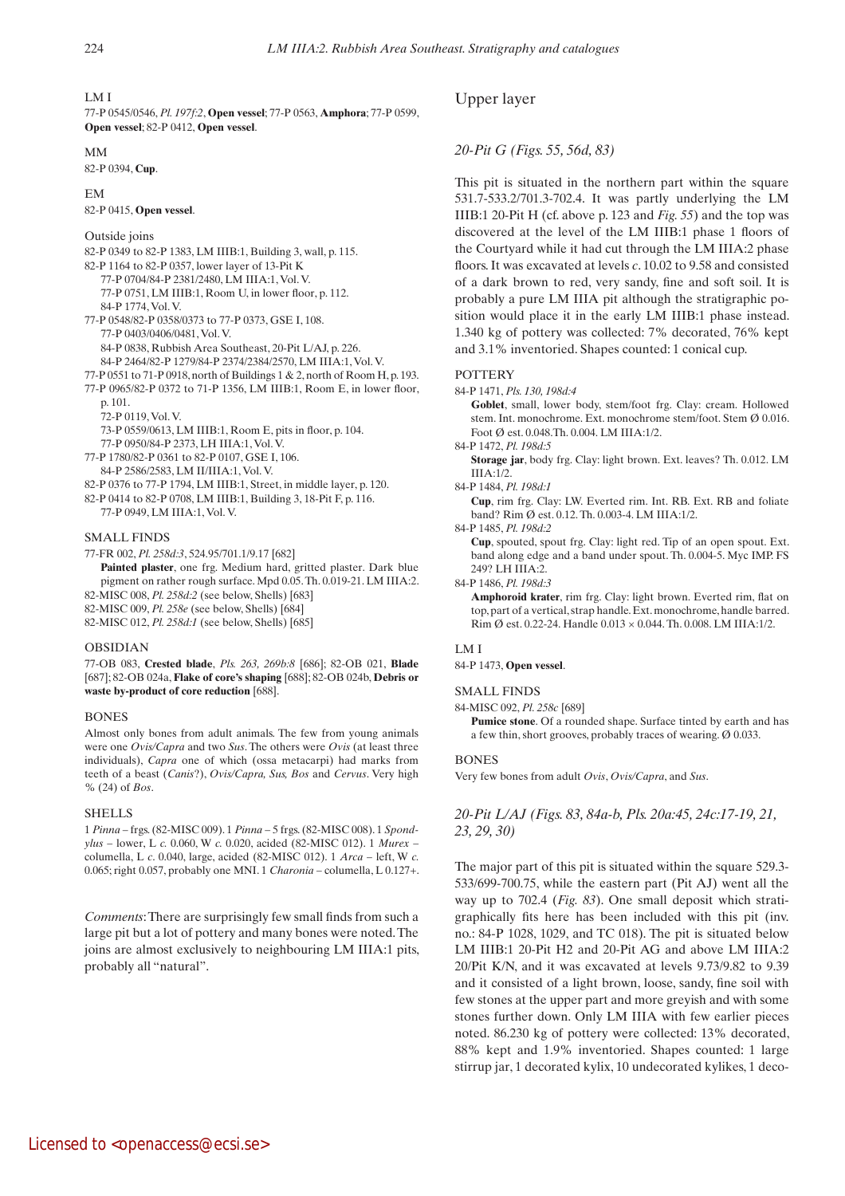### LM I

77-P 0545/0546, *Pl. 197f:2*, **Open vessel**; 77-P 0563, **Amphora**; 77-P 0599, **Open vessel**; 82-P 0412, **Open vessel**.

## MM

82-P 0394, **Cup**.

#### EM

82-P 0415, **Open vessel**.

## Outside joins

82-P 0349 to 82-P 1383, LM IIIB:1, Building 3, wall, p. 115. 82-P 1164 to 82-P 0357, lower layer of 13-Pit K 77-P 0704/84-P 2381/2480, LM IIIA:1, Vol. V. 77-P 0751, LM IIIB:1, Room U, in lower floor, p. 112. 84-P 1774, Vol. V. 77-P 0548/82-P 0358/0373 to 77-P 0373, GSE I, 108. 77-P 0403/0406/0481, Vol. V. 84-P 0838, Rubbish Area Southeast, 20-Pit L/AJ, p. 226. 84-P 2464/82-P 1279/84-P 2374/2384/2570, LM IIIA:1, Vol. V. 77-P 0551 to 71-P 0918, north of Buildings 1 & 2, north of Room H, p. 193. 77-P 0965/82-P 0372 to 71-P 1356, LM IIIB:1, Room E, in lower floor, p. 101. 72-P 0119, Vol. V. 73-P 0559/0613, LM IIIB:1, Room E, pits in floor, p. 104. 77-P 0950/84-P 2373, LH IIIA:1, Vol. V. 77-P 1780/82-P 0361 to 82-P 0107, GSE I, 106. 84-P 2586/2583, LM II/IIIA:1, Vol. V. 82-P 0376 to 77-P 1794, LM IIIB:1, Street, in middle layer, p. 120. 82-P 0414 to 82-P 0708, LM IIIB:1, Building 3, 18-Pit F, p. 116. 77-P 0949, LM IIIA:1, Vol. V. SMALL FINDS

77-FR 002, *Pl. 258d:3*, 524.95/701.1/9.17 [682]

Painted plaster, one frg. Medium hard, gritted plaster. Dark blue pigment on rather rough surface. Mpd 0.05. Th. 0.019-21. LM IIIA:2. 82-MISC 008, *Pl. 258d:2* (see below, Shells) [683]

82-MISC 009, *Pl. 258e* (see below, Shells) [684]

82-MISC 012, *Pl. 258d:1* (see below, Shells) [685]

## OBSIDIAN

77-OB 083, **Crested blade**, *Pls. 263, 269b:8* [686]; 82-OB 021, **Blade** [687]; 82-OB 024a, **Flake of core's shaping** [688]; 82-OB 024b, **Debris or waste by-product of core reduction** [688].

## BONES

Almost only bones from adult animals. The few from young animals were one *Ovis/Capra* and two *Sus*. The others were *Ovis* (at least three individuals), *Capra* one of which (ossa metacarpi) had marks from teeth of a beast (*Canis*?), *Ovis/Capra, Sus, Bos* and *Cervus*. Very high % (24) of *Bos*.

## **SHELLS**

1 *Pinna* – frgs. (82-MISC 009). 1 *Pinna* – 5 frgs. (82-MISC 008). 1 *Spondylus* – lower, L *c.* 0.060, W *c.* 0.020, acided (82-MISC 012). 1 *Murex* – columella, L *c*. 0.040, large, acided (82-MISC 012). 1 *Arca* – left, W *c.*  0.065; right 0.057, probably one MNI. 1 *Charonia –* columella, L 0.127+.

*Comments*: There are surprisingly few small finds from such a large pit but a lot of pottery and many bones were noted. The joins are almost exclusively to neighbouring LM IIIA:1 pits, probably all "natural".

## Upper layer

## *20-Pit G (Figs. 55, 56d, 83)*

This pit is situated in the northern part within the square 531.7-533.2/701.3-702.4. It was partly underlying the LM IIIB:1 20-Pit H (cf. above p. 123 and *Fig. 55*) and the top was discovered at the level of the LM IIIB:1 phase 1 floors of the Courtyard while it had cut through the LM IIIA:2 phase floors. It was excavated at levels *c*. 10.02 to 9.58 and consisted of a dark brown to red, very sandy, fine and soft soil. It is probably a pure LM IIIA pit although the stratigraphic position would place it in the early LM IIIB:1 phase instead. 1.340 kg of pottery was collected: 7% decorated, 76% kept and 3.1% inventoried. Shapes counted: 1 conical cup.

#### **POTTERY**

84-P 1471, *Pls. 130, 198d:4*

 **Goblet**, small, lower body, stem/foot frg. Clay: cream. Hollowed stem. Int. monochrome. Ext. monochrome stem/foot. Stem Ø 0.016. Foot Ø est. 0.048.Th. 0.004. LM IIIA:1/2.

84-P 1472, *Pl. 198d:5*

 **Storage jar**, body frg. Clay: light brown. Ext. leaves? Th. 0.012. LM IIIA:1/2.

## 84-P 1484, *Pl. 198d:1*

 **Cup**, rim frg. Clay: LW. Everted rim. Int. RB. Ext. RB and foliate band? Rim Ø est. 0.12. Th. 0.003-4. LM IIIA:1/2.

## 84-P 1485, *Pl. 198d:2*

 **Cup**, spouted, spout frg. Clay: light red. Tip of an open spout. Ext. band along edge and a band under spout. Th. 0.004-5. Myc IMP. FS 249? LH IIIA:2.

#### 84-P 1486, *Pl. 198d:3*

 **Amphoroid krater**, rim frg. Clay: light brown. Everted rim, flat on top, part of a vertical, strap handle. Ext. monochrome, handle barred. Rim Ø est. 0.22-24. Handle 0.013 × 0.044. Th. 0.008. LM IIIA:1/2.

# LM I

84-P 1473, **Open vessel**.

SMALL FINDS

84-MISC 092, *Pl. 258c* [689]

 **Pumice stone**. Of a rounded shape. Surface tinted by earth and has a few thin, short grooves, probably traces of wearing. Ø 0.033.

#### **BONES**

Very few bones from adult *Ovis*, *Ovis/Capra*, and *Sus*.

# *20-Pit L/AJ (Figs. 83, 84a-b, Pls. 20a:45, 24c:17-19, 21, 23, 29, 30)*

The major part of this pit is situated within the square 529.3- 533/699-700.75, while the eastern part (Pit AJ) went all the way up to 702.4 (*Fig. 83*). One small deposit which stratigraphically fits here has been included with this pit (inv. no.: 84-P 1028, 1029, and TC 018). The pit is situated below LM IIIB:1 20-Pit H2 and 20-Pit AG and above LM IIIA:2 20/Pit K/N, and it was excavated at levels 9.73/9.82 to 9.39 and it consisted of a light brown, loose, sandy, fine soil with few stones at the upper part and more greyish and with some stones further down. Only LM IIIA with few earlier pieces noted. 86.230 kg of pottery were collected: 13% decorated, 88% kept and 1.9% inventoried. Shapes counted: 1 large stirrup jar, 1 decorated kylix, 10 undecorated kylikes, 1 deco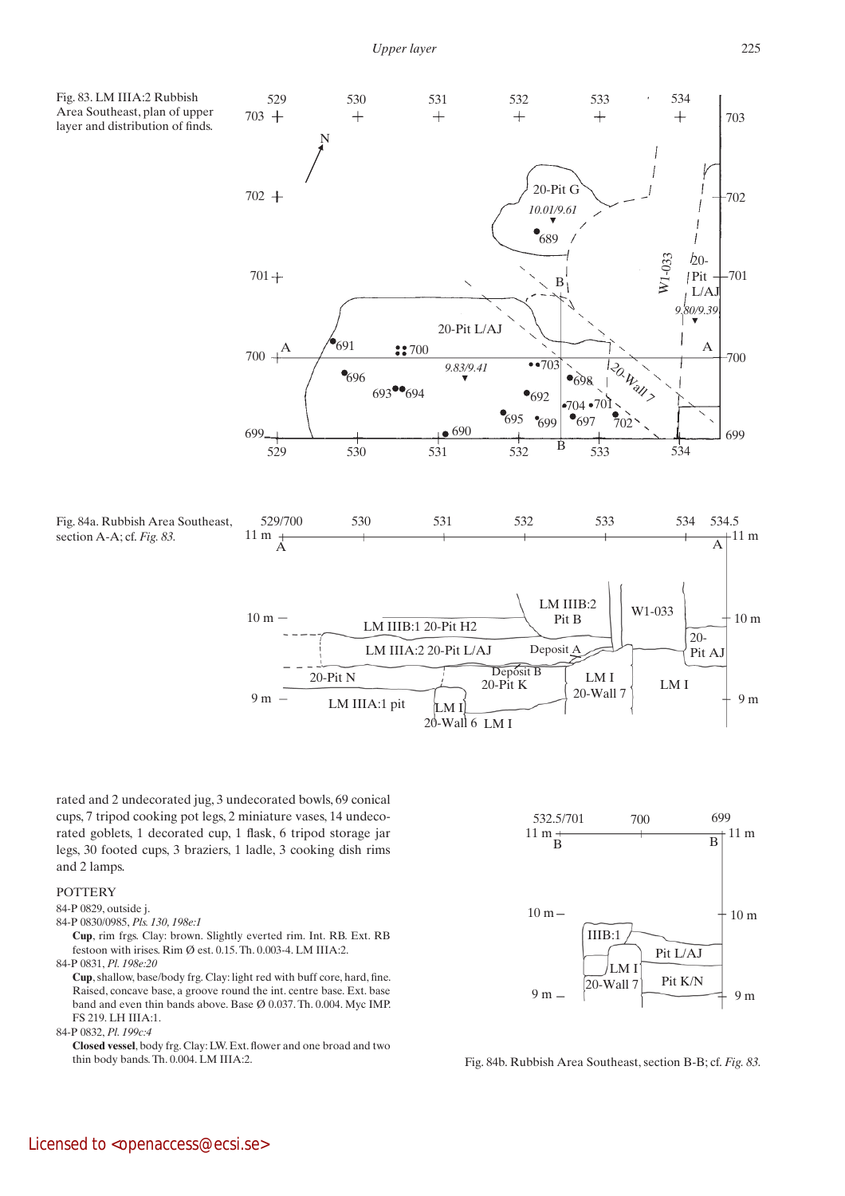*Upper layer*

Area Southeast, plan of upper layer and distribution of finds.



20-Wall 6 LM I

rated and 2 undecorated jug, 3 undecorated bowls, 69 conical cups, 7 tripod cooking pot legs, 2 miniature vases, 14 undecorated goblets, 1 decorated cup, 1 flask, 6 tripod storage jar legs, 30 footed cups, 3 braziers, 1 ladle, 3 cooking dish rims and 2 lamps.

# POTTERY

## 84-P 0829, outside j.

- 84-P 0830/0985, *Pls. 130, 198e:1*
- **Cup**, rim frgs. Clay: brown. Slightly everted rim. Int. RB. Ext. RB festoon with irises. Rim Ø est. 0.15. Th. 0.003-4. LM IIIA:2.

84-P 0831, *Pl. 198e:20*

 **Cup**, shallow, base/body frg. Clay: light red with buff core, hard, fine. Raised, concave base, a groove round the int. centre base. Ext. base band and even thin bands above. Base Ø 0.037. Th. 0.004. Myc IMP. FS 219. LH IIIA:1.

84-P 0832, *Pl. 199c:4*

 **Closed vessel**, body frg. Clay: LW. Ext. flower and one broad and two thin body bands. Th. 0.004. LM IIIA:2.



Fig. 84b. Rubbish Area Southeast, section B-B; cf. *Fig. 83.*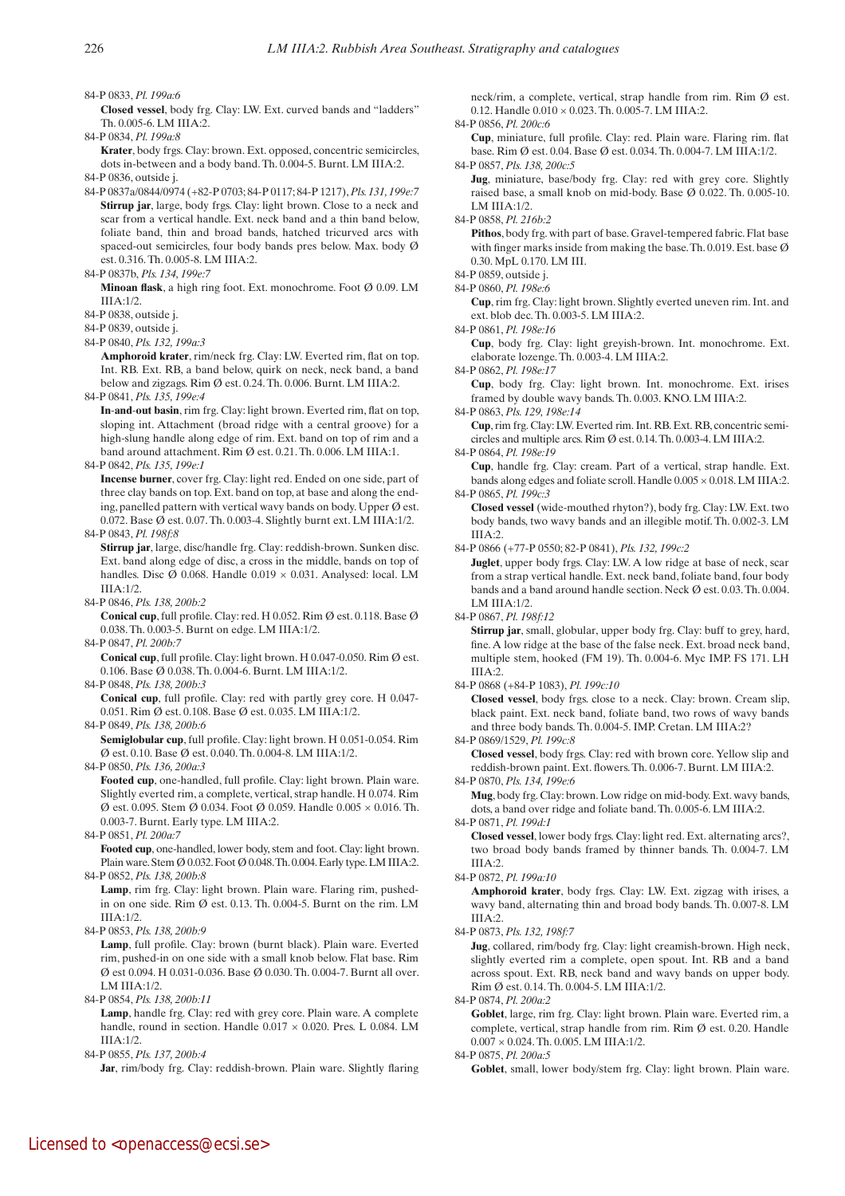84-P 0833, *Pl. 199a:6*

 **Closed vessel**, body frg. Clay: LW. Ext. curved bands and "ladders" Th. 0.005-6. LM IIIA:2.

84-P 0834, *Pl. 199a:8*

 **Krater**, body frgs. Clay: brown. Ext. opposed, concentric semicircles, dots in-between and a body band. Th. 0.004-5. Burnt. LM IIIA:2.

84-P 0836, outside j.

84-P 0837a/0844/0974 (+82-P 0703; 84-P 0117; 84-P 1217), *Pls. 131, 199e:7*  **Stirrup jar**, large, body frgs. Clay: light brown. Close to a neck and scar from a vertical handle. Ext. neck band and a thin band below, foliate band, thin and broad bands, hatched tricurved arcs with spaced-out semicircles, four body bands pres below. Max. body Ø est. 0.316. Th. 0.005-8. LM IIIA:2.

84-P 0837b, *Pls. 134, 199e:7*

 **Minoan flask**, a high ring foot. Ext. monochrome. Foot Ø 0.09. LM IIIA:1/2.

84-P 0838, outside j.

84-P 0839, outside j.

84-P 0840, *Pls. 132, 199a:3*

 **Amphoroid krater**, rim/neck frg. Clay: LW. Everted rim, flat on top. Int. RB. Ext. RB, a band below, quirk on neck, neck band, a band below and zigzags. Rim Ø est. 0.24. Th. 0.006. Burnt. LM IIIA:2. 84-P 0841, *Pls. 135, 199e:4*

 **In**-**and**-**out basin**, rim frg. Clay: light brown. Everted rim, flat on top, sloping int. Attachment (broad ridge with a central groove) for a high-slung handle along edge of rim. Ext. band on top of rim and a band around attachment. Rim Ø est. 0.21. Th. 0.006. LM IIIA:1.

84-P 0842, *Pls. 135, 199e:1*

 **Incense burner**, cover frg. Clay: light red. Ended on one side, part of three clay bands on top. Ext. band on top, at base and along the ending, panelled pattern with vertical wavy bands on body. Upper Ø est. 0.072. Base Ø est. 0.07. Th. 0.003-4. Slightly burnt ext. LM IIIA:1/2. 84-P 0843, *Pl. 198f:8*

 **Stirrup jar**, large, disc/handle frg. Clay: reddish-brown. Sunken disc. Ext. band along edge of disc, a cross in the middle, bands on top of handles. Disc Ø 0.068. Handle 0.019 × 0.031. Analysed: local. LM  $IIA:1/2$ .

84-P 0846, *Pls. 138, 200b:2*

 **Conical cup**, full profile. Clay: red. H 0.052. Rim Ø est. 0.118. Base Ø 0.038. Th. 0.003-5. Burnt on edge. LM IIIA:1/2.

84-P 0847, *Pl. 200b:7*

 **Conical cup**, full profile. Clay: light brown. H 0.047-0.050. Rim Ø est. 0.106. Base Ø 0.038. Th. 0.004-6. Burnt. LM IIIA:1/2.

84-P 0848, *Pls. 138, 200b:3*

**Conical cup**, full profile. Clay: red with partly grey core. H 0.047-0.051. Rim Ø est. 0.108. Base Ø est. 0.035. LM IIIA:1/2.

84-P 0849, *Pls. 138, 200b:6*

 **Semiglobular cup**, full profile. Clay: light brown. H 0.051-0.054. Rim Ø est. 0.10. Base Ø est. 0.040. Th. 0.004-8. LM IIIA:1/2.

84-P 0850, *Pls. 136, 200a:3*

 **Footed cup**, one-handled, full profile. Clay: light brown. Plain ware. Slightly everted rim, a complete, vertical, strap handle. H 0.074. Rim Ø est. 0.095. Stem Ø 0.034. Foot Ø 0.059. Handle 0.005 × 0.016. Th. 0.003-7. Burnt. Early type. LM IIIA:2.

84-P 0851, *Pl. 200a:7*

 **Footed cup**, one-handled, lower body, stem and foot. Clay: light brown. Plain ware. Stem Ø 0.032. Foot Ø 0.048. Th. 0.004. Early type. LM IIIA:2. 84-P 0852, *Pls. 138, 200b:8*

Lamp, rim frg. Clay: light brown. Plain ware. Flaring rim, pushedin on one side. Rim Ø est. 0.13. Th. 0.004-5. Burnt on the rim. LM IIIA:1/2.

84-P 0853, *Pls. 138, 200b:9*

Lamp, full profile. Clay: brown (burnt black). Plain ware. Everted rim, pushed-in on one side with a small knob below. Flat base. Rim Ø est 0.094. H 0.031-0.036. Base Ø 0.030. Th. 0.004-7. Burnt all over. LM IIIA:1/2.

84-P 0854, *Pls. 138, 200b:11*

Lamp, handle frg. Clay: red with grey core. Plain ware. A complete handle, round in section. Handle 0.017 × 0.020. Pres. L 0.084. LM  $IIA:1/2$ .

84-P 0855, *Pls. 137, 200b:4* Jar, rim/body frg. Clay: reddish-brown. Plain ware. Slightly flaring neck/rim, a complete, vertical, strap handle from rim. Rim Ø est. 0.12. Handle 0.010 × 0.023. Th. 0.005-7. LM IIIA:2.

84-P 0856, *Pl. 200c:6*  **Cup**, miniature, full profile. Clay: red. Plain ware. Flaring rim. flat

base. Rim Ø est. 0.04. Base Ø est. 0.034. Th. 0.004-7. LM IIIA:1/2.

84-P 0857, *Pls. 138, 200c:5*

 **Jug**, miniature, base/body frg. Clay: red with grey core. Slightly raised base, a small knob on mid-body. Base Ø 0.022. Th. 0.005-10. LM IIIA:1/2.

84-P 0858, *Pl. 216b:2*

Pithos, body frg. with part of base. Gravel-tempered fabric. Flat base with finger marks inside from making the base. Th. 0.019. Est. base  $\varnothing$ 0.30. MpL 0.170. LM III.

84-P 0859, outside j.

84-P 0860, *Pl. 198e:6*

 **Cup**, rim frg. Clay: light brown. Slightly everted uneven rim. Int. and ext. blob dec. Th. 0.003-5. LM IIIA:2.

84-P 0861, *Pl. 198e:16*

 **Cup**, body frg. Clay: light greyish-brown. Int. monochrome. Ext. elaborate lozenge. Th. 0.003-4. LM IIIA:2.

84-P 0862, *Pl. 198e:17*

 **Cup**, body frg. Clay: light brown. Int. monochrome. Ext. irises framed by double wavy bands. Th. 0.003. KNO. LM IIIA:2.

84-P 0863, *Pls. 129, 198e:14*

 **Cup**, rim frg. Clay: LW. Everted rim. Int. RB. Ext. RB, concentric semicircles and multiple arcs. Rim Ø est. 0.14. Th. 0.003-4. LM IIIA:2.

84-P 0864, *Pl. 198e:19*

 **Cup**, handle frg. Clay: cream. Part of a vertical, strap handle. Ext. bands along edges and foliate scroll. Handle 0.005 × 0.018. LM IIIA:2. 84-P 0865, *Pl. 199c:3*

 **Closed vessel** (wide-mouthed rhyton?), body frg. Clay: LW. Ext. two body bands, two wavy bands and an illegible motif. Th. 0.002-3. LM IIIA:2.

84-P 0866 (+77-P 0550; 82-P 0841), *Pls. 132, 199c:2* 

 **Juglet**, upper body frgs. Clay: LW. A low ridge at base of neck, scar from a strap vertical handle. Ext. neck band, foliate band, four body bands and a band around handle section. Neck Ø est. 0.03. Th. 0.004. LM III $A·1/2$ .

84-P 0867, *Pl. 198f:12*

 **Stirrup jar**, small, globular, upper body frg. Clay: buff to grey, hard, fine. A low ridge at the base of the false neck. Ext. broad neck band, multiple stem, hooked (FM 19). Th. 0.004-6. Myc IMP. FS 171. LH IIIA:2.

84-P 0868 (+84-P 1083), *Pl. 199c:10*

 **Closed vessel**, body frgs. close to a neck. Clay: brown. Cream slip, black paint. Ext. neck band, foliate band, two rows of wavy bands and three body bands. Th. 0.004-5. IMP. Cretan. LM IIIA:2?

84-P 0869/1529, *Pl. 199c:8*

 **Closed vessel**, body frgs. Clay: red with brown core. Yellow slip and reddish-brown paint. Ext. flowers. Th. 0.006-7. Burnt. LM IIIA:2.

84-P 0870, *Pls. 134, 199e:6*

 **Mug**, body frg. Clay: brown. Low ridge on mid-body. Ext. wavy bands, dots, a band over ridge and foliate band. Th. 0.005-6. LM IIIA:2.

84-P 0871, *Pl. 199d:1*

 **Closed vessel**, lower body frgs. Clay: light red. Ext. alternating arcs?, two broad body bands framed by thinner bands. Th. 0.004-7. LM IIIA:2.

84-P 0872, *Pl. 199a:10*

 **Amphoroid krater**, body frgs. Clay: LW. Ext. zigzag with irises, a wavy band, alternating thin and broad body bands. Th. 0.007-8. LM  $IIIA:2$ .

84-P 0873, *Pls. 132, 198f:7* 

 **Jug**, collared, rim/body frg. Clay: light creamish-brown. High neck, slightly everted rim a complete, open spout. Int. RB and a band across spout. Ext. RB, neck band and wavy bands on upper body. Rim Ø est. 0.14. Th. 0.004-5. LM IIIA:1/2.

84-P 0874, *Pl. 200a:2*

Goblet, large, rim frg. Clay: light brown. Plain ware. Everted rim, a complete, vertical, strap handle from rim. Rim Ø est. 0.20. Handle 0.007 × 0.024. Th. 0.005. LM IIIA:1/2.

84-P 0875, *Pl. 200a:5*

Goblet, small, lower body/stem frg. Clay: light brown. Plain ware.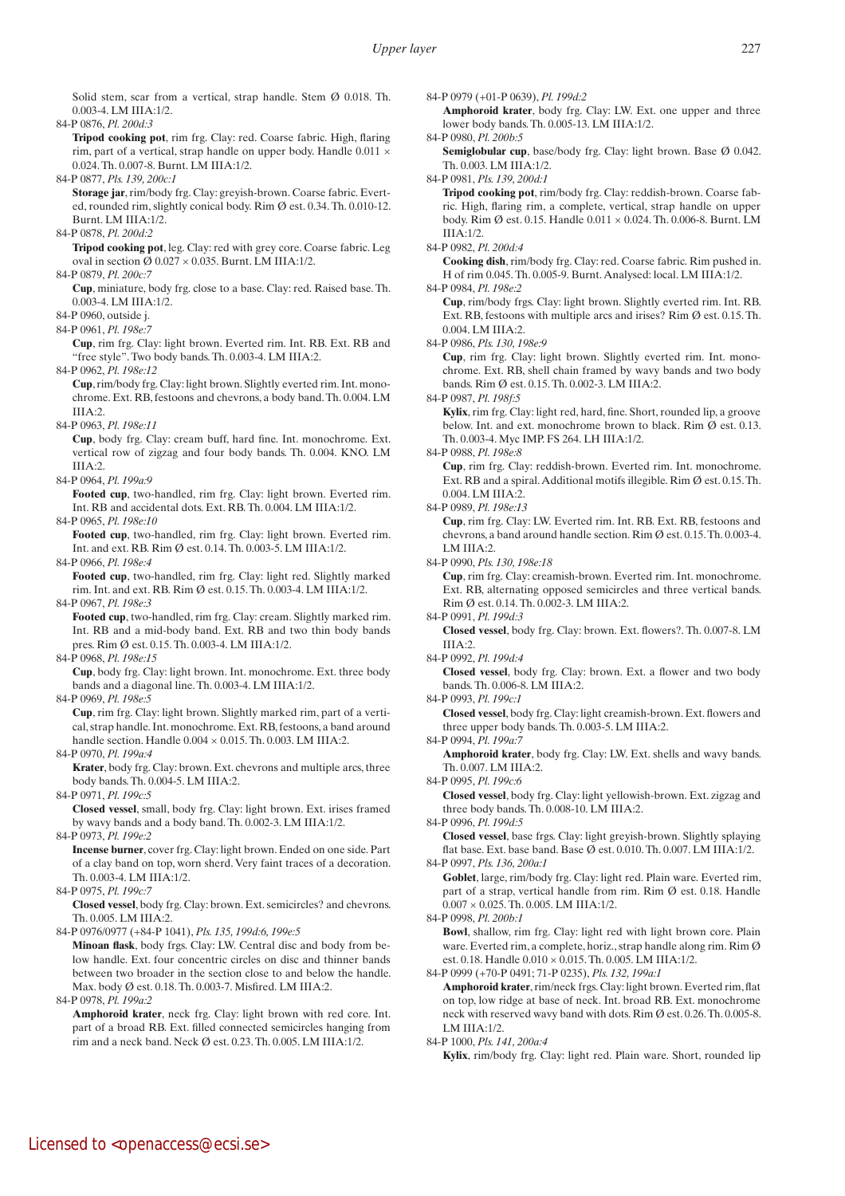Solid stem, scar from a vertical, strap handle. Stem Ø 0.018. Th. 0.003-4. LM IIIA:1/2.

84-P 0876, *Pl. 200d:3*

 **Tripod cooking pot**, rim frg. Clay: red. Coarse fabric. High, flaring rim, part of a vertical, strap handle on upper body. Handle  $0.011 \times$ 0.024. Th. 0.007-8. Burnt. LM IIIA:1/2.

84-P 0877, *Pls. 139, 200c:1*

 **Storage jar**, rim/body frg. Clay: greyish-brown. Coarse fabric. Everted, rounded rim, slightly conical body. Rim Ø est. 0.34. Th. 0.010-12. Burnt. LM IIIA:1/2.

84-P 0878, *Pl. 200d:2*

**Tripod cooking pot**, leg. Clay: red with grey core. Coarse fabric. Leg oval in section  $\varnothing$  0.027  $\times$  0.035. Burnt. LM IIIA:1/2. 84-P 0879, *Pl. 200c:7*

 **Cup**, miniature, body frg. close to a base. Clay: red. Raised base. Th. 0.003-4. LM IIIA:1/2.

84-P 0960, outside j.

84-P 0961, *Pl. 198e:7*

 **Cup**, rim frg. Clay: light brown. Everted rim. Int. RB. Ext. RB and "free style". Two body bands. Th. 0.003-4. LM IIIA:2.

84-P 0962, *Pl. 198e:12*

 **Cup**, rim/body frg. Clay: light brown. Slightly everted rim. Int. monochrome. Ext. RB, festoons and chevrons, a body band. Th. 0.004. LM IIIA:2.

84-P 0963, *Pl. 198e:11*

 **Cup**, body frg. Clay: cream buff, hard fine. Int. monochrome. Ext. vertical row of zigzag and four body bands. Th. 0.004. KNO. LM  $IIIA:2.$ 

84-P 0964, *Pl. 199a:9*

 **Footed cup**, two-handled, rim frg. Clay: light brown. Everted rim. Int. RB and accidental dots. Ext. RB. Th. 0.004. LM IIIA:1/2.

84-P 0965, *Pl. 198e:10*

 **Footed cup**, two-handled, rim frg. Clay: light brown. Everted rim. Int. and ext. RB. Rim Ø est. 0.14. Th. 0.003-5. LM IIIA:1/2.

84-P 0966, *Pl. 198e:4*

 **Footed cup**, two-handled, rim frg. Clay: light red. Slightly marked rim. Int. and ext. RB. Rim Ø est. 0.15. Th. 0.003-4. LM IIIA:1/2.

84-P 0967, *Pl. 198e:3*

 **Footed cup**, two-handled, rim frg. Clay: cream. Slightly marked rim. Int. RB and a mid-body band. Ext. RB and two thin body bands pres. Rim Ø est. 0.15. Th. 0.003-4. LM IIIA:1/2.

84-P 0968, *Pl. 198e:15*

 **Cup**, body frg. Clay: light brown. Int. monochrome. Ext. three body bands and a diagonal line. Th. 0.003-4. LM IIIA:1/2.

84-P 0969, *Pl. 198e:5*

 **Cup**, rim frg. Clay: light brown. Slightly marked rim, part of a vertical, strap handle. Int. monochrome. Ext. RB, festoons, a band around handle section. Handle  $0.004 \times 0.015$ . Th.  $0.003$ . LM IIIA:2.

84-P 0970, *Pl. 199a:4*

 **Krater**, body frg. Clay: brown. Ext. chevrons and multiple arcs, three body bands. Th. 0.004-5. LM IIIA:2.

84-P 0971, *Pl. 199c:5*

 **Closed vessel**, small, body frg. Clay: light brown. Ext. irises framed by wavy bands and a body band. Th. 0.002-3. LM IIIA:1/2. 84-P 0973, *Pl. 199e:2*

 **Incense burner**, cover frg. Clay: light brown. Ended on one side. Part of a clay band on top, worn sherd. Very faint traces of a decoration. Th. 0.003-4. LM IIIA:1/2.

84-P 0975, *Pl. 199c:7*

 **Closed vessel**, body frg. Clay: brown. Ext. semicircles? and chevrons. Th. 0.005. LM IIIA:2.

84-P 0976/0977 (+84-P 1041), *Pls. 135, 199d:6, 199e:5* 

**Minoan flask**, body frgs. Clay: LW. Central disc and body from below handle. Ext. four concentric circles on disc and thinner bands between two broader in the section close to and below the handle. Max. body Ø est. 0.18. Th. 0.003-7. Misfired. LM IIIA:2.

84-P 0978, *Pl. 199a:2*

 **Amphoroid krater**, neck frg. Clay: light brown with red core. Int. part of a broad RB. Ext. filled connected semicircles hanging from rim and a neck band. Neck Ø est. 0.23. Th. 0.005. LM IIIA:1/2.

84-P 0979 (+01-P 0639), *Pl. 199d:2*

 **Amphoroid krater**, body frg. Clay: LW. Ext. one upper and three lower body bands. Th. 0.005-13. LM IIIA:1/2.

84-P 0980, *Pl. 200b:5*

 **Semiglobular cup**, base/body frg. Clay: light brown. Base Ø 0.042. Th. 0.003. LM IIIA:1/2.

84-P 0981, *Pls. 139, 200d:1*

 **Tripod cooking pot**, rim/body frg. Clay: reddish-brown. Coarse fabric. High, flaring rim, a complete, vertical, strap handle on upper body. Rim Ø est. 0.15. Handle 0.011 × 0.024. Th. 0.006-8. Burnt. LM IIIA:1/2.

84-P 0982, *Pl. 200d:4*

 **Cooking dish**, rim/body frg. Clay: red. Coarse fabric. Rim pushed in. H of rim 0.045. Th. 0.005-9. Burnt. Analysed: local. LM IIIA:1/2. 84-P 0984, *Pl. 198e:2*

 **Cup**, rim/body frgs. Clay: light brown. Slightly everted rim. Int. RB. Ext. RB, festoons with multiple arcs and irises? Rim Ø est. 0.15. Th. 0.004. LM IIIA:2.

84-P 0986, *Pls. 130, 198e:9*

 **Cup**, rim frg. Clay: light brown. Slightly everted rim. Int. monochrome. Ext. RB, shell chain framed by wavy bands and two body bands. Rim Ø est. 0.15. Th. 0.002-3. LM IIIA:2.

84-P 0987, *Pl. 198f:5*

 **Kylix**, rim frg. Clay: light red, hard, fine. Short, rounded lip, a groove below. Int. and ext. monochrome brown to black. Rim Ø est. 0.13. Th. 0.003-4. Myc IMP. FS 264. LH IIIA:1/2.

84-P 0988, *Pl. 198e:8*

 **Cup**, rim frg. Clay: reddish-brown. Everted rim. Int. monochrome. Ext. RB and a spiral. Additional motifs illegible. Rim Ø est. 0.15. Th. 0.004. LM IIIA:2.

84-P 0989, *Pl. 198e:13*

 **Cup**, rim frg. Clay: LW. Everted rim. Int. RB. Ext. RB, festoons and chevrons, a band around handle section. Rim Ø est. 0.15. Th. 0.003-4. LM IIIA:2.

84-P 0990, *Pls. 130, 198e:18*

 **Cup**, rim frg. Clay: creamish-brown. Everted rim. Int. monochrome. Ext. RB, alternating opposed semicircles and three vertical bands. Rim Ø est. 0.14. Th. 0.002-3. LM IIIA:2.

84-P 0991, *Pl. 199d:3*

 **Closed vessel**, body frg. Clay: brown. Ext. flowers?. Th. 0.007-8. LM IIIA:2.

84-P 0992, *Pl. 199d:4*

 **Closed vessel**, body frg. Clay: brown. Ext. a flower and two body bands. Th. 0.006-8. LM IIIA:2.

84-P 0993, *Pl. 199c:1*

 **Closed vessel**, body frg. Clay: light creamish-brown. Ext. flowers and three upper body bands. Th. 0.003-5. LM IIIA:2.

84-P 0994, *Pl. 199a:7*

 **Amphoroid krater**, body frg. Clay: LW. Ext. shells and wavy bands. Th. 0.007. LM IIIA:2.

84-P 0995, *Pl. 199c:6*

 **Closed vessel**, body frg. Clay: light yellowish-brown. Ext. zigzag and three body bands. Th. 0.008-10. LM IIIA:2.

84-P 0996, *Pl. 199d:5*

 **Closed vessel**, base frgs. Clay: light greyish-brown. Slightly splaying flat base. Ext. base band. Base  $\emptyset$  est. 0.010. Th. 0.007. LM IIIA:1/2. 84-P 0997, *Pls. 136, 200a:1*

Goblet, large, rim/body frg. Clay: light red. Plain ware. Everted rim, part of a strap, vertical handle from rim. Rim Ø est. 0.18. Handle  $0.007 \times 0.025$  . Th. 0.005. LM IIIA:1/2.

84-P 0998, *Pl. 200b:1*

 **Bowl**, shallow, rim frg. Clay: light red with light brown core. Plain ware. Everted rim, a complete, horiz., strap handle along rim. Rim Ø est. 0.18. Handle 0.010 × 0.015. Th. 0.005. LM IIIA:1/2.

84-P 0999 (+70-P 0491; 71-P 0235), *Pls. 132, 199a:1*

 **Amphoroid krater**, rim/neck frgs. Clay: light brown. Everted rim, flat on top, low ridge at base of neck. Int. broad RB. Ext. monochrome neck with reserved wavy band with dots. Rim Ø est. 0.26. Th. 0.005-8. LM IIIA:1/2.

84-P 1000, *Pls. 141, 200a:4*

 **Kylix**, rim/body frg. Clay: light red. Plain ware. Short, rounded lip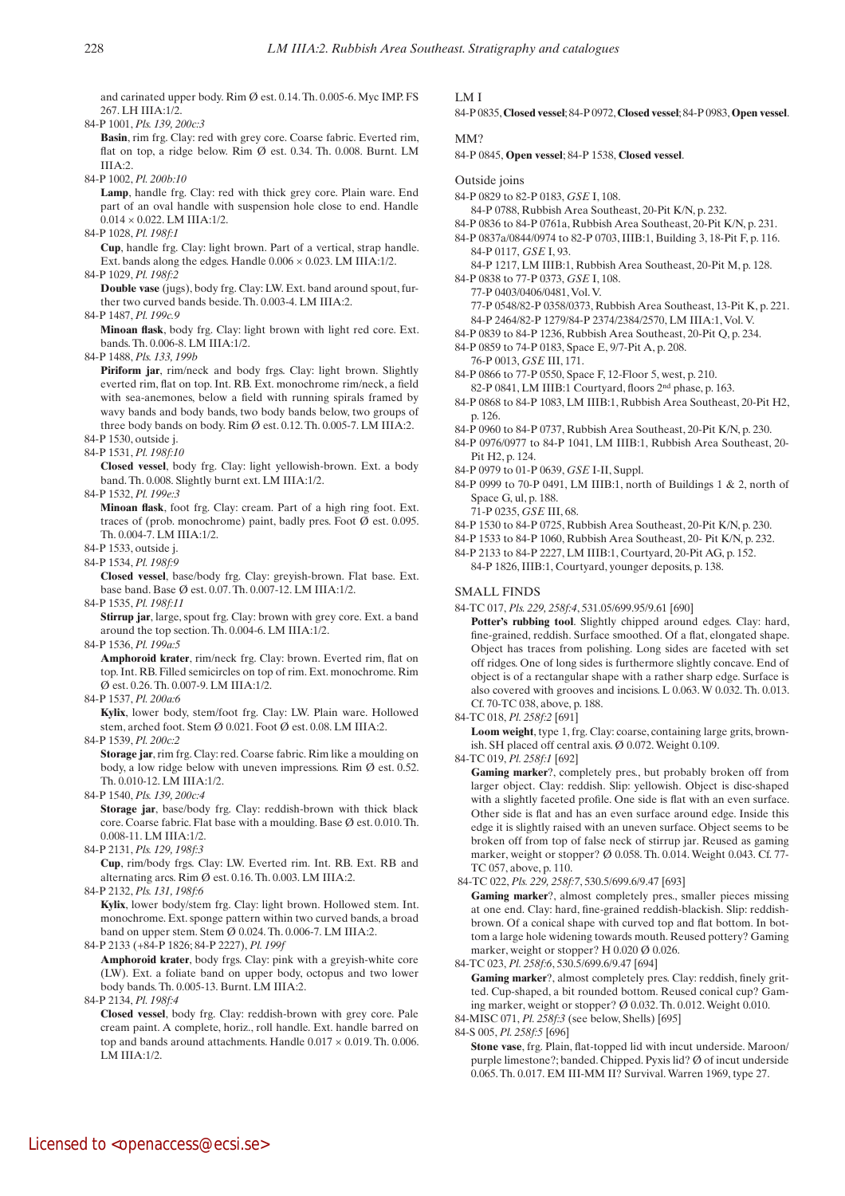and carinated upper body. Rim  $\emptyset$  est. 0.14. Th. 0.005-6. Myc IMP. FS 267. LH IIIA:1/2.

84-P 1001, *Pls. 139, 200c:3*

- Basin, rim frg. Clay: red with grey core. Coarse fabric. Everted rim, flat on top, a ridge below. Rim  $\emptyset$  est. 0.34. Th. 0.008. Burnt. LM  $IIIA:2.$
- 84-P 1002, *Pl. 200b:10*

Lamp, handle frg. Clay: red with thick grey core. Plain ware. End part of an oval handle with suspension hole close to end. Handle  $0.014 \times 0.022$ , LM IIIA:1/2.

84-P 1028, *Pl. 198f:1*

 **Cup**, handle frg. Clay: light brown. Part of a vertical, strap handle. Ext. bands along the edges. Handle  $0.006 \times 0.023$ . LM IIIA:1/2. 84-P 1029, *Pl. 198f:2*

 **Double vase** (jugs), body frg. Clay: LW. Ext. band around spout, further two curved bands beside. Th. 0.003-4. LM IIIA:2.

84-P 1487, *Pl. 199c.9*

 **Minoan flask**, body frg. Clay: light brown with light red core. Ext. bands. Th. 0.006-8. LM IIIA:1/2.

84-P 1488, *Pls. 133, 199b*

 **Piriform jar**, rim/neck and body frgs. Clay: light brown. Slightly everted rim, flat on top. Int. RB. Ext. monochrome rim/neck, a field with sea-anemones, below a field with running spirals framed by wavy bands and body bands, two body bands below, two groups of three body bands on body. Rim Ø est. 0.12. Th. 0.005-7. LM IIIA:2.

- 84-P 1530, outside j.
- 84-P 1531, *Pl. 198f:10*

 **Closed vessel**, body frg. Clay: light yellowish-brown. Ext. a body band. Th. 0.008. Slightly burnt ext. LM IIIA:1/2.

84-P 1532, *Pl. 199e:3*

 **Minoan flask**, foot frg. Clay: cream. Part of a high ring foot. Ext. traces of (prob. monochrome) paint, badly pres. Foot  $\emptyset$  est. 0.095. Th. 0.004-7. LM IIIA:1/2.

- 84-P 1533, outside j.
- 84-P 1534, *Pl. 198f:9*

 **Closed vessel**, base/body frg. Clay: greyish-brown. Flat base. Ext. base band. Base Ø est. 0.07. Th. 0.007-12. LM IIIA:1/2.

84-P 1535, *Pl. 198f:11*

 **Stirrup jar**, large, spout frg. Clay: brown with grey core. Ext. a band around the top section. Th. 0.004-6. LM IIIA:1/2.

84-P 1536, *Pl. 199a:5*

 **Amphoroid krater**, rim/neck frg. Clay: brown. Everted rim, flat on top. Int. RB. Filled semicircles on top of rim. Ext. monochrome. Rim Ø est. 0.26. Th. 0.007-9. LM IIIA:1/2.

84-P 1537, *Pl. 200a:6*

 **Kylix**, lower body, stem/foot frg. Clay: LW. Plain ware. Hollowed stem, arched foot. Stem Ø 0.021. Foot Ø est. 0.08. LM IIIA:2.

84-P 1539, *Pl. 200c:2*

 **Storage jar**, rim frg. Clay: red. Coarse fabric. Rim like a moulding on body, a low ridge below with uneven impressions. Rim Ø est. 0.52. Th. 0.010-12. LM IIIA:1/2.

84-P 1540, *Pls. 139, 200c:4*

 **Storage jar**, base/body frg. Clay: reddish-brown with thick black core. Coarse fabric. Flat base with a moulding. Base Ø est. 0.010. Th. 0.008-11. LM IIIA:1/2.

84-P 2131, *Pls. 129, 198f:3*

 **Cup**, rim/body frgs. Clay: LW. Everted rim. Int. RB. Ext. RB and alternating arcs. Rim  $\emptyset$  est. 0.16. Th. 0.003. LM IIIA:2.

84-P 2132, *Pls. 131, 198f:6*

 **Kylix**, lower body/stem frg. Clay: light brown. Hollowed stem. Int. monochrome. Ext. sponge pattern within two curved bands, a broad band on upper stem. Stem Ø 0.024. Th. 0.006-7. LM IIIA:2.

84-P 2133 (+84-P 1826; 84-P 2227), *Pl. 199f*

 **Amphoroid krater**, body frgs. Clay: pink with a greyish-white core (LW). Ext. a foliate band on upper body, octopus and two lower body bands. Th. 0.005-13. Burnt. LM IIIA:2.

84-P 2134, *Pl. 198f:4*

 **Closed vessel**, body frg. Clay: reddish-brown with grey core. Pale cream paint. A complete, horiz., roll handle. Ext. handle barred on top and bands around attachments. Handle  $0.017 \times 0.019$  Th. 0.006. I M III $\triangle$ -1/2.

### LM I

84-P 0835, **Closed vessel**; 84-P 0972, **Closed vessel**; 84-P 0983, **Open vessel**.

## MM?

84-P 0845, **Open vessel**; 84-P 1538, **Closed vessel**.

#### Outside joins

- 84-P 0829 to 82-P 0183, *GSE* I, 108.
- 84-P 0788, Rubbish Area Southeast, 20-Pit K/N, p. 232.
- 84-P 0836 to 84-P 0761a, Rubbish Area Southeast, 20-Pit K/N, p. 231.
- 84-P 0837a/0844/0974 to 82-P 0703, IIIB:1, Building 3, 18-Pit F, p. 116. 84-P 0117, *GSE* I, 93.

84-P 1217, LM IIIB:1, Rubbish Area Southeast, 20-Pit M, p. 128. 84-P 0838 to 77-P 0373, *GSE* I, 108.

- 77-P 0403/0406/0481, Vol. V. 77-P 0548/82-P 0358/0373, Rubbish Area Southeast, 13-Pit K, p. 221.
- 84-P 2464/82-P 1279/84-P 2374/2384/2570, LM IIIA:1, Vol. V.
- 84-P 0839 to 84-P 1236, Rubbish Area Southeast, 20-Pit Q, p. 234. 84-P 0859 to 74-P 0183, Space E, 9/7-Pit A, p. 208.
- 76-P 0013, *GSE* III, 171. 84-P 0866 to 77-P 0550, Space F, 12-Floor 5, west, p. 210.
- 82-P 0841, LM IIIB:1 Courtyard, floors 2nd phase, p. 163.
- 84-P 0868 to 84-P 1083, LM IIIB:1, Rubbish Area Southeast, 20-Pit H2, p. 126.
- 84-P 0960 to 84-P 0737, Rubbish Area Southeast, 20-Pit K/N, p. 230.
- 84-P 0976/0977 to 84-P 1041, LM IIIB:1, Rubbish Area Southeast, 20- Pit H2, p. 124.
- 84-P 0979 to 01-P 0639, *GSE* I-II, Suppl.

84-P 0999 to 70-P 0491, LM IIIB:1, north of Buildings 1 & 2, north of Space G, ul, p. 188.

71-P 0235, *GSE* III, 68.

- 84-P 1530 to 84-P 0725, Rubbish Area Southeast, 20-Pit K/N, p. 230.
- 84-P 1533 to 84-P 1060, Rubbish Area Southeast, 20- Pit K/N, p. 232.

84-P 2133 to 84-P 2227, LM IIIB:1, Courtyard, 20-Pit AG, p. 152. 84-P 1826, IIIB:1, Courtyard, younger deposits, p. 138.

## SMALL FINDS

- 84-TC 017, *Pls. 229, 258f:4*, 531.05/699.95/9.61 [690]  **Potter's rubbing tool**. Slightly chipped around edges. Clay: hard, fine-grained, reddish. Surface smoothed. Of a flat, elongated shape. Object has traces from polishing. Long sides are faceted with set off ridges. One of long sides is furthermore slightly concave. End of object is of a rectangular shape with a rather sharp edge. Surface is also covered with grooves and incisions. L 0.063. W 0.032. Th. 0.013. Cf. 70-TC 038, above, p. 188.
- 84-TC 018, *Pl. 258f:2* [691]

 **Loom weight**, type 1, frg. Clay: coarse, containing large grits, brownish. SH placed off central axis. Ø 0.072. Weight 0.109.

84-TC 019, *Pl. 258f:1* [692]

 **Gaming marker**?, completely pres., but probably broken off from larger object. Clay: reddish. Slip: yellowish. Object is disc-shaped with a slightly faceted profile. One side is flat with an even surface. Other side is flat and has an even surface around edge. Inside this edge it is slightly raised with an uneven surface. Object seems to be broken off from top of false neck of stirrup jar. Reused as gaming marker, weight or stopper? Ø 0.058. Th. 0.014. Weight 0.043. Cf. 77- TC 057, above, p. 110.

84-TC 022, *Pls. 229, 258f:7*, 530.5/699.6/9.47 [693]

 **Gaming marker**?, almost completely pres., smaller pieces missing at one end. Clay: hard, fine-grained reddish-blackish. Slip: reddishbrown. Of a conical shape with curved top and flat bottom. In bottom a large hole widening towards mouth. Reused pottery? Gaming marker, weight or stopper? H 0.020 Ø 0.026.

84-TC 023, *Pl. 258f:6*, 530.5/699.6/9.47 [694]

 **Gaming marker**?, almost completely pres. Clay: reddish, finely gritted. Cup-shaped, a bit rounded bottom. Reused conical cup? Gaming marker, weight or stopper? Ø 0.032. Th. 0.012. Weight 0.010. 84-MISC 071, *Pl. 258f:3* (see below, Shells) [695]

84-S 005, *Pl. 258f:5* [696]

 **Stone vase**, frg. Plain, flat-topped lid with incut underside. Maroon/ purple limestone?; banded. Chipped. Pyxis lid? Ø of incut underside 0.065. Th. 0.017. EM III-MM II? Survival. Warren 1969, type 27.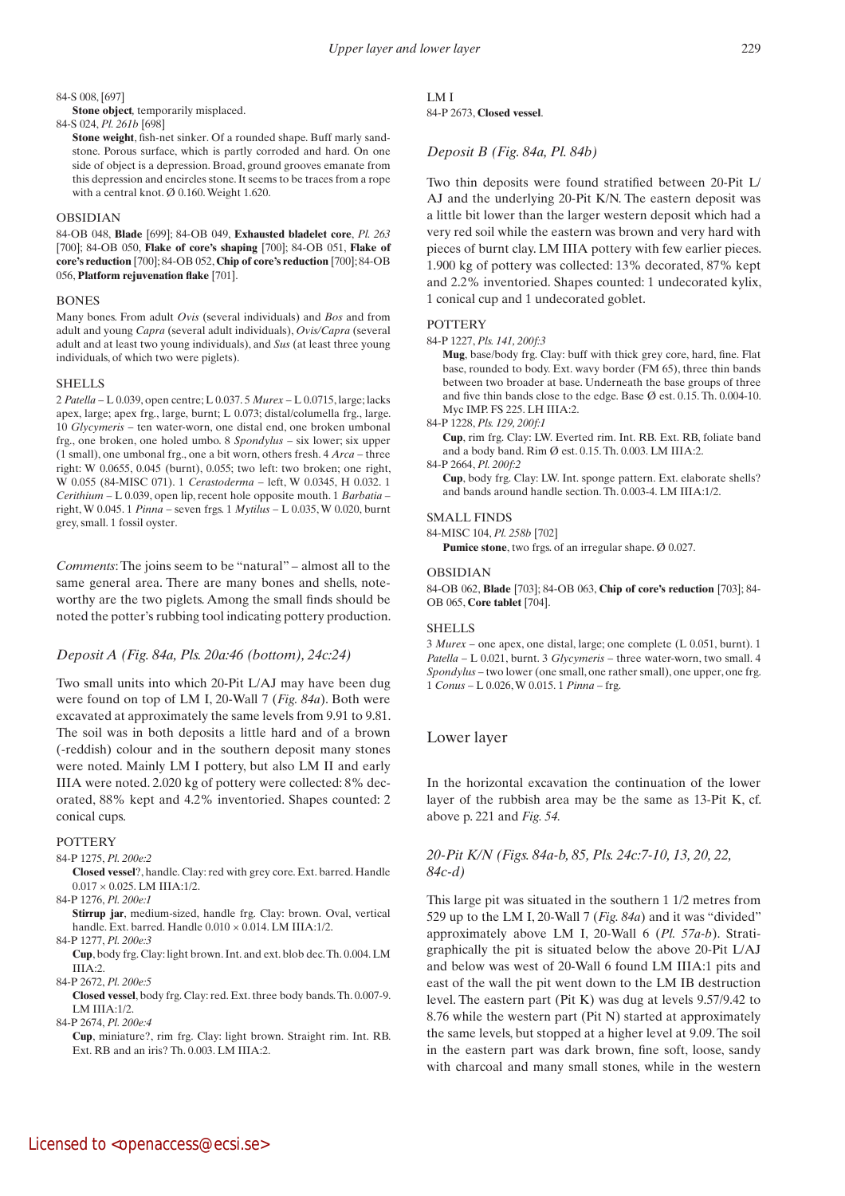#### 84-S 008, [697]

 **Stone object***,* temporarily misplaced.

84-S 024, *Pl. 261b* [698]

**Stone weight**, fish-net sinker. Of a rounded shape. Buff marly sandstone. Porous surface, which is partly corroded and hard. On one side of object is a depression. Broad, ground grooves emanate from this depression and encircles stone. It seems to be traces from a rope with a central knot.  $\varnothing$  0.160. Weight 1.620.

#### OBSIDIAN

84-OB 048, **Blade** [699]; 84-OB 049, **Exhausted bladelet core**, *Pl. 263* [700]; 84-OB 050, **Flake of core's shaping** [700]; 84-OB 051, **Flake of core's reduction** [700]; 84-OB 052, **Chip of core's reduction** [700]; 84-OB 056, **Platform rejuvenation flake** [701].

#### **BONES**

Many bones. From adult *Ovis* (several individuals) and *Bos* and from adult and young *Capra* (several adult individuals), *Ovis/Capra* (several adult and at least two young individuals), and *Sus* (at least three young individuals, of which two were piglets).

#### **SHELLS**

2 *Patella* – L 0.039, open centre; L 0.037. 5 *Murex* – L 0.0715, large; lacks apex, large; apex frg., large, burnt; L 0.073; distal/columella frg., large. 10 *Glycymeris* – ten water-worn, one distal end, one broken umbonal frg., one broken, one holed umbo. 8 *Spondylus* – six lower; six upper (1 small), one umbonal frg., one a bit worn, others fresh. 4 *Arca* – three right: W 0.0655, 0.045 (burnt), 0.055; two left: two broken; one right, W 0.055 (84-MISC 071). 1 *Cerastoderma* – left, W 0.0345, H 0.032. 1 *Cerithium* – L 0.039, open lip, recent hole opposite mouth. 1 *Barbatia* – right, W 0.045. 1 *Pinna* – seven frgs. 1 *Mytilus* – L 0.035, W 0.020, burnt grey, small. 1 fossil oyster.

*Comments*: The joins seem to be "natural" – almost all to the same general area. There are many bones and shells, noteworthy are the two piglets. Among the small finds should be noted the potter's rubbing tool indicating pottery production.

## *Deposit A (Fig. 84a, Pls. 20a:46 (bottom), 24c:24)*

Two small units into which 20-Pit L/AJ may have been dug were found on top of LM I, 20-Wall 7 (*Fig. 84a*). Both were excavated at approximately the same levels from 9.91 to 9.81. The soil was in both deposits a little hard and of a brown (-reddish) colour and in the southern deposit many stones were noted. Mainly LM I pottery, but also LM II and early IIIA were noted. 2.020 kg of pottery were collected: 8% decorated, 88% kept and 4.2% inventoried. Shapes counted: 2 conical cups.

#### **POTTERY**

#### 84-P 1275, *Pl. 200e:2*

 **Closed vessel**?, handle. Clay: red with grey core. Ext. barred. Handle  $0.017\times0.025.$  LM IIIA:1/2.

84-P 1276, *Pl. 200e:1*

**Stirrup jar**, medium-sized, handle frg. Clay: brown. Oval, vertical handle. Ext. barred. Handle  $0.010 \times 0.014$ . LM IIIA:1/2. 84-P 1277, *Pl. 200e:3*

 **Cup**, body frg. Clay: light brown. Int. and ext. blob dec. Th. 0.004. LM IIIA:2.

84-P 2672, *Pl. 200e:5*

 **Closed vessel**, body frg. Clay: red. Ext. three body bands. Th. 0.007-9. LM IIIA:1/2.

84-P 2674, *Pl. 200e:4*

 **Cup**, miniature?, rim frg. Clay: light brown. Straight rim. Int. RB. Ext. RB and an iris? Th. 0.003. LM IIIA:2.

# LM I

84-P 2673, **Closed vessel**.

## *Deposit B (Fig. 84a, Pl. 84b)*

Two thin deposits were found stratified between 20-Pit L/ AJ and the underlying 20-Pit K/N. The eastern deposit was a little bit lower than the larger western deposit which had a very red soil while the eastern was brown and very hard with pieces of burnt clay. LM IIIA pottery with few earlier pieces. 1.900 kg of pottery was collected: 13% decorated, 87% kept and 2.2% inventoried. Shapes counted: 1 undecorated kylix, 1 conical cup and 1 undecorated goblet.

#### **POTTERY**

84-P 1227, *Pls. 141, 200f:3*

 **Mug**, base/body frg. Clay: buff with thick grey core, hard, fine. Flat base, rounded to body. Ext. wavy border (FM 65), three thin bands between two broader at base. Underneath the base groups of three and five thin bands close to the edge. Base Ø est. 0.15. Th. 0.004-10. Myc IMP. FS 225. LH IIIA:2.

84-P 1228, *Pls. 129, 200f:1*

 **Cup**, rim frg. Clay: LW. Everted rim. Int. RB. Ext. RB, foliate band and a body band. Rim Ø est. 0.15. Th. 0.003. LM IIIA:2.

84-P 2664, *Pl. 200f:2*

 **Cup**, body frg. Clay: LW. Int. sponge pattern. Ext. elaborate shells? and bands around handle section. Th. 0.003-4. LM IIIA:1/2.

## SMALL FINDS

84-MISC 104, *Pl. 258b* [702]

**Pumice stone**, two frgs. of an irregular shape. Ø 0.027.

#### OBSIDIAN

84-OB 062, **Blade** [703]; 84-OB 063, **Chip of core's reduction** [703]; 84- OB 065, **Core tablet** [704].

## SHELLS

3 *Murex* – one apex, one distal, large; one complete (L 0.051, burnt). 1 *Patella* – L 0.021, burnt. 3 *Glycymeris* – three water-worn, two small. 4 *Spondylus* – two lower (one small, one rather small), one upper, one frg. 1 *Conus* – L 0.026, W 0.015. 1 *Pinna* – frg.

# Lower layer

In the horizontal excavation the continuation of the lower layer of the rubbish area may be the same as 13-Pit K, cf. above p. 221 and *Fig. 54.*

# *20-Pit K/N (Figs. 84a-b, 85, Pls. 24c:7-10, 13, 20, 22, 84c-d)*

This large pit was situated in the southern 1 1/2 metres from 529 up to the LM I, 20-Wall 7 (*Fig. 84a*) and it was "divided" approximately above LM I, 20-Wall 6 (*Pl. 57a-b*). Stratigraphically the pit is situated below the above 20-Pit L/AJ and below was west of 20-Wall 6 found LM IIIA:1 pits and east of the wall the pit went down to the LM IB destruction level. The eastern part (Pit K) was dug at levels 9.57/9.42 to 8.76 while the western part (Pit N) started at approximately the same levels, but stopped at a higher level at 9.09. The soil in the eastern part was dark brown, fine soft, loose, sandy with charcoal and many small stones, while in the western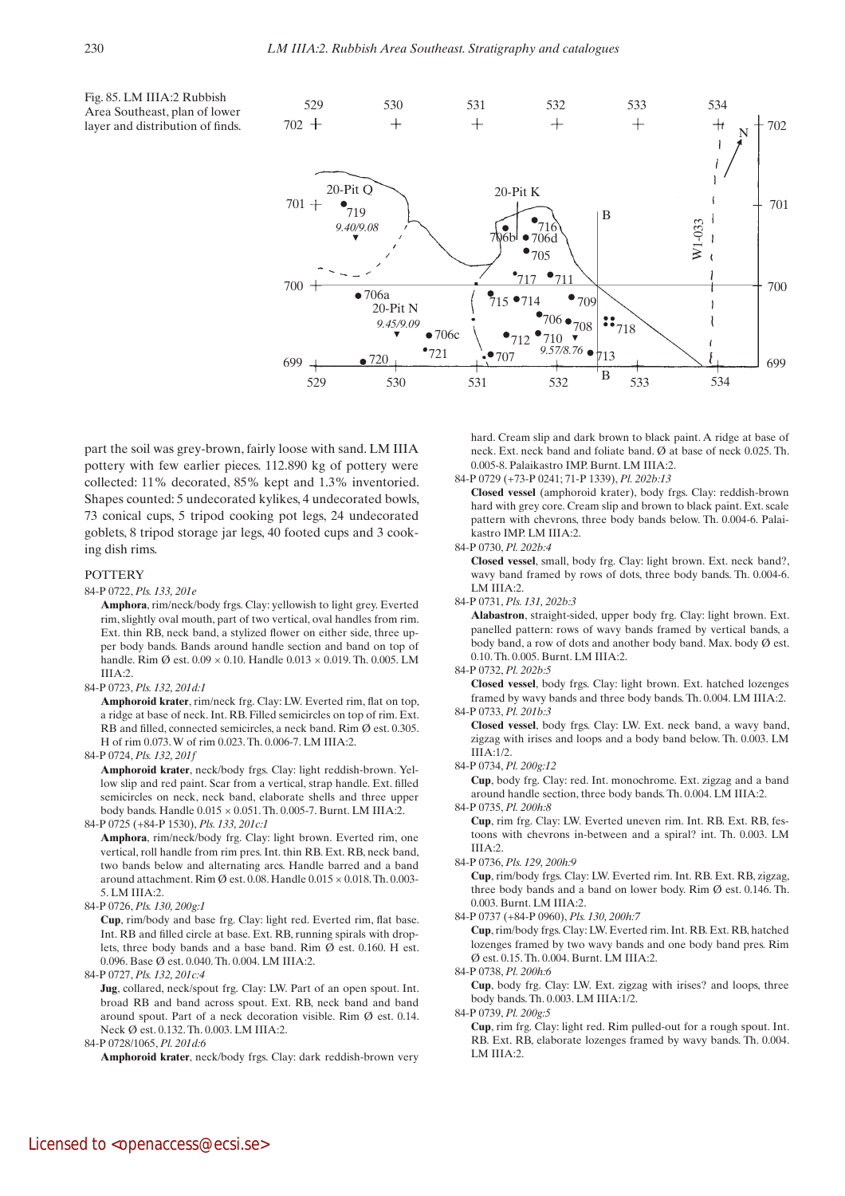Fig. 85. LM IIIA:2 Rubbish Area Southeast, plan of lower layer and distribution of finds.



part the soil was grey-brown, fairly loose with sand. LM IIIA pottery with few earlier pieces. 112.890 kg of pottery were collected: 11% decorated, 85% kept and 1.3% inventoried. Shapes counted: 5 undecorated kylikes, 4 undecorated bowls, 73 conical cups, 5 tripod cooking pot legs, 24 undecorated goblets, 8 tripod storage jar legs, 40 footed cups and 3 cooking dish rims.

## **POTTERY**

### 84-P 0722, *Pls. 133, 201e*

 **Amphora**, rim/neck/body frgs. Clay: yellowish to light grey. Everted rim, slightly oval mouth, part of two vertical, oval handles from rim. Ext. thin RB, neck band, a stylized flower on either side, three upper body bands. Bands around handle section and band on top of handle. Rim  $\varnothing$  est. 0.09  $\times$  0.10. Handle 0.013  $\times$  0.019. Th. 0.005. LM  $IIIA:2$ 

#### 84-P 0723, *Pls. 132, 201d:1*

 **Amphoroid krater**, rim/neck frg. Clay: LW. Everted rim, flat on top, a ridge at base of neck. Int. RB. Filled semicircles on top of rim. Ext. RB and filled, connected semicircles, a neck band. Rim Ø est. 0.305. H of rim 0.073. W of rim 0.023. Th. 0.006-7. LM IIIA:2.

#### 84-P 0724, *Pls. 132, 201f*

 **Amphoroid krater**, neck/body frgs. Clay: light reddish-brown. Yellow slip and red paint. Scar from a vertical, strap handle. Ext. filled semicircles on neck, neck band, elaborate shells and three upper body bands. Handle 0.015 × 0.051. Th. 0.005-7. Burnt. LM IIIA:2. 84-P 0725 (+84-P 1530), *Pls. 133, 201c:1*

 **Amphora**, rim/neck/body frg. Clay: light brown. Everted rim, one vertical, roll handle from rim pres. Int. thin RB. Ext. RB, neck band, two bands below and alternating arcs. Handle barred and a band around attachment. Rim Ø est. 0.08. Handle  $0.015 \times 0.018$ . Th. 0.003-5. LM IIIA:2.

84-P 0726, *Pls. 130, 200g:1*

 **Cup**, rim/body and base frg. Clay: light red. Everted rim, flat base. Int. RB and filled circle at base. Ext. RB, running spirals with droplets, three body bands and a base band. Rim Ø est. 0.160. H est. 0.096. Base Ø est. 0.040. Th. 0.004. LM IIIA:2.

84-P 0727, *Pls. 132, 201c:4*

**Jug**, collared, neck/spout frg. Clay: LW. Part of an open spout. Int. broad RB and band across spout. Ext. RB, neck band and band around spout. Part of a neck decoration visible. Rim Ø est. 0.14. Neck Ø est. 0.132. Th. 0.003. LM IIIA:2.

84-P 0728/1065, *Pl. 201d:6*

 **Amphoroid krater**, neck/body frgs. Clay: dark reddish-brown very

hard. Cream slip and dark brown to black paint. A ridge at base of neck. Ext. neck band and foliate band. Ø at base of neck 0.025. Th. 0.005-8. Palaikastro IMP. Burnt. LM IIIA:2.

84-P 0729 (+73-P 0241; 71-P 1339), *Pl. 202b:13*

 **Closed vessel** (amphoroid krater), body frgs. Clay: reddish-brown hard with grey core. Cream slip and brown to black paint. Ext. scale pattern with chevrons, three body bands below. Th. 0.004-6. Palaikastro IMP. LM IIIA:2.

84-P 0730, *Pl. 202b:4*

 **Closed vessel**, small, body frg. Clay: light brown. Ext. neck band?, wavy band framed by rows of dots, three body bands. Th. 0.004-6. LM IIIA:2.

84-P 0731, *Pls. 131, 202b:3*

 **Alabastron**, straight-sided, upper body frg. Clay: light brown. Ext. panelled pattern: rows of wavy bands framed by vertical bands, a body band, a row of dots and another body band. Max. body Ø est. 0.10. Th. 0.005. Burnt. LM IIIA:2.

#### 84-P 0732, *Pl. 202b:5*

 **Closed vessel**, body frgs. Clay: light brown. Ext. hatched lozenges framed by wavy bands and three body bands. Th. 0.004. LM IIIA:2. 84-P 0733, *Pl. 201b:3*

 **Closed vessel**, body frgs. Clay: LW. Ext. neck band, a wavy band, zigzag with irises and loops and a body band below. Th. 0.003. LM IIIA:1/2.

84-P 0734, *Pl. 200g:12*

 **Cup**, body frg. Clay: red. Int. monochrome. Ext. zigzag and a band around handle section, three body bands. Th. 0.004. LM IIIA:2.

84-P 0735, *Pl. 200h:8*

 **Cup**, rim frg. Clay: LW. Everted uneven rim. Int. RB. Ext. RB, festoons with chevrons in-between and a spiral? int. Th. 0.003. LM IIIA:2.

#### 84-P 0736, *Pls. 129, 200h:9*

 **Cup**, rim/body frgs. Clay: LW. Everted rim. Int. RB. Ext. RB, zigzag, three body bands and a band on lower body. Rim Ø est. 0.146. Th. 0.003. Burnt. LM IIIA:2.

84-P 0737 (+84-P 0960), *Pls. 130, 200h:7*

 **Cup**, rim/body frgs. Clay: LW. Everted rim. Int. RB. Ext. RB, hatched lozenges framed by two wavy bands and one body band pres. Rim Ø est. 0.15. Th. 0.004. Burnt. LM IIIA:2.

84-P 0738, *Pl. 200h:6*

 **Cup**, body frg. Clay: LW. Ext. zigzag with irises? and loops, three body bands. Th. 0.003. LM IIIA:1/2.

84-P 0739, *Pl. 200g:5*

 **Cup**, rim frg. Clay: light red. Rim pulled-out for a rough spout. Int. RB. Ext. RB, elaborate lozenges framed by wavy bands. Th. 0.004. LM IIIA·2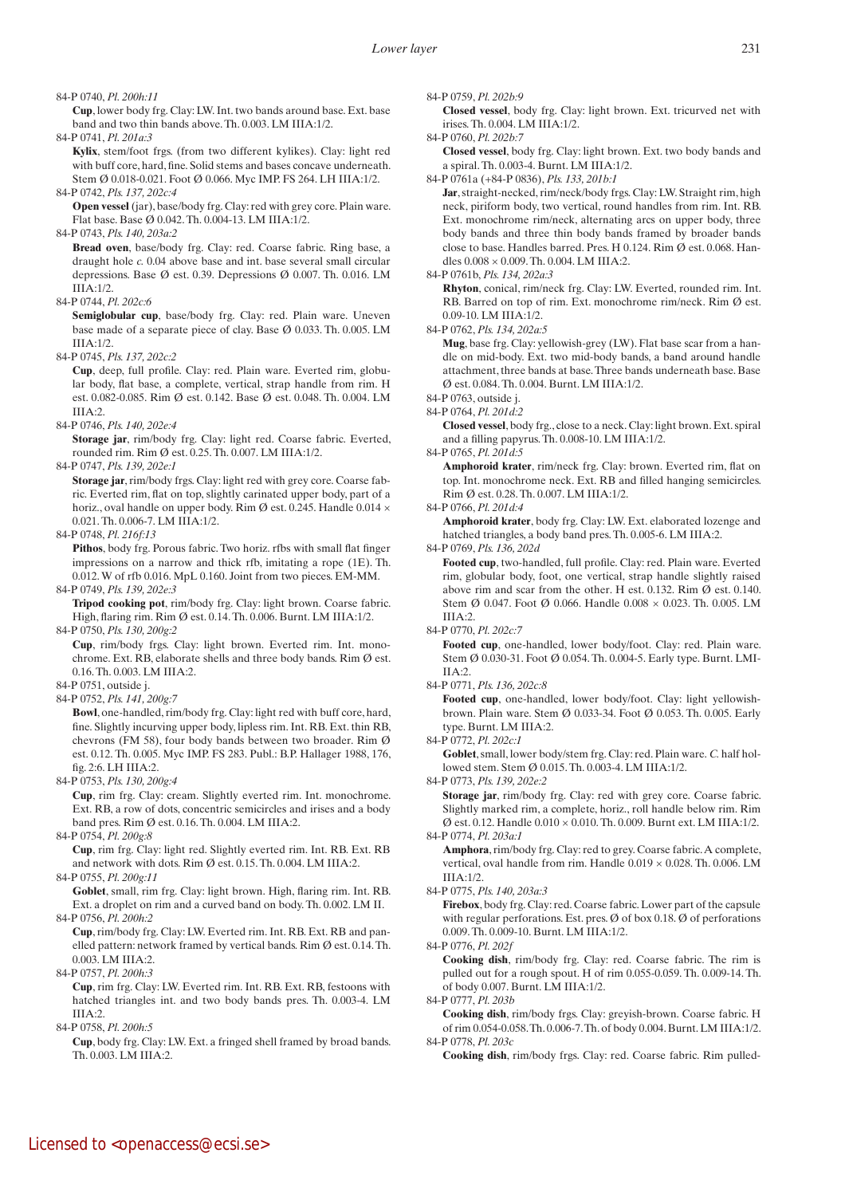84-P 0740, *Pl. 200h:11*

 **Cup**, lower body frg. Clay: LW. Int. two bands around base. Ext. base band and two thin bands above. Th. 0.003. LM IIIA:1/2.

84-P 0741, *Pl. 201a:3*

**Kylix**, stem/foot frgs. (from two different kylikes). Clay: light red with buff core, hard, fine. Solid stems and bases concave underneath. Stem Ø 0.018-0.021. Foot Ø 0.066. Myc IMP. FS 264. LH IIIA:1/2. 84-P 0742, *Pls. 137, 202c:4*

 **Open vessel** (jar), base/body frg. Clay: red with grey core. Plain ware. Flat base. Base Ø 0.042. Th. 0.004-13. LM IIIA:1/2.

84-P 0743, *Pls. 140, 203a:2* 

 **Bread oven**, base/body frg. Clay: red. Coarse fabric. Ring base, a draught hole *c.* 0.04 above base and int. base several small circular depressions. Base Ø est. 0.39. Depressions Ø 0.007. Th. 0.016. LM  $IIIA:1/2.$ 

84-P 0744, *Pl. 202c:6*

 **Semiglobular cup**, base/body frg. Clay: red. Plain ware. Uneven base made of a separate piece of clay. Base Ø 0.033. Th. 0.005. LM IIIA:1/2.

84-P 0745, *Pls. 137, 202c:2*

 **Cup**, deep, full profile. Clay: red. Plain ware. Everted rim, globular body, flat base, a complete, vertical, strap handle from rim. H est. 0.082-0.085. Rim Ø est. 0.142. Base Ø est. 0.048. Th. 0.004. LM IIIA:2.

84-P 0746, *Pls. 140, 202e:4*

 **Storage jar**, rim/body frg. Clay: light red. Coarse fabric. Everted, rounded rim. Rim Ø est. 0.25. Th. 0.007. LM IIIA:1/2.

84-P 0747, *Pls. 139, 202e:1*

 **Storage jar**, rim/body frgs. Clay: light red with grey core. Coarse fabric. Everted rim, flat on top, slightly carinated upper body, part of a horiz., oval handle on upper body. Rim Ø est. 0.245. Handle 0.014 × 0.021. Th. 0.006-7. LM IIIA:1/2.

84-P 0748, *Pl. 216f:13*

Pithos, body frg. Porous fabric. Two horiz. rfbs with small flat finger impressions on a narrow and thick rfb, imitating a rope (1E). Th. 0.012. W of rfb 0.016. MpL 0.160. Joint from two pieces. EM-MM.

84-P 0749, *Pls. 139, 202e:3*

 **Tripod cooking pot**, rim/body frg. Clay: light brown. Coarse fabric. High, flaring rim. Rim Ø est. 0.14. Th. 0.006. Burnt. LM IIIA:1/2.

84-P 0750, *Pls. 130, 200g:2*

 **Cup**, rim/body frgs. Clay: light brown. Everted rim. Int. monochrome. Ext. RB, elaborate shells and three body bands. Rim Ø est. 0.16. Th. 0.003. LM IIIA:2.

84-P 0751, outside j.

84-P 0752, *Pls. 141, 200g:7*

 **Bowl**, one-handled, rim/body frg. Clay: light red with buff core, hard, fine. Slightly incurving upper body, lipless rim. Int. RB. Ext. thin RB, chevrons (FM 58), four body bands between two broader. Rim Ø est. 0.12. Th. 0.005. Myc IMP. FS 283. Publ.: B.P. Hallager 1988, 176, fig. 2:6. LH IIIA:2.

84-P 0753, *Pls. 130, 200g:4*

 **Cup**, rim frg. Clay: cream. Slightly everted rim. Int. monochrome. Ext. RB, a row of dots, concentric semicircles and irises and a body band pres. Rim Ø est. 0.16. Th. 0.004. LM IIIA:2.

84-P 0754, *Pl. 200g:8*

 **Cup**, rim frg. Clay: light red. Slightly everted rim. Int. RB. Ext. RB and network with dots. Rim Ø est. 0.15. Th. 0.004. LM IIIA:2.

84-P 0755, *Pl. 200g:11*

 **Goblet**, small, rim frg. Clay: light brown. High, flaring rim. Int. RB. Ext. a droplet on rim and a curved band on body. Th. 0.002. LM II. 84-P 0756, *Pl. 200h:2*

 **Cup**, rim/body frg. Clay: LW. Everted rim. Int. RB. Ext. RB and panelled pattern: network framed by vertical bands. Rim Ø est. 0.14. Th. 0.003. LM IIIA:2.

84-P 0757, *Pl. 200h:3*

 **Cup**, rim frg. Clay: LW. Everted rim. Int. RB. Ext. RB, festoons with hatched triangles int. and two body bands pres. Th. 0.003-4. LM  $IIIA:2.$ 

84-P 0758, *Pl. 200h:5*

 **Cup**, body frg. Clay: LW. Ext. a fringed shell framed by broad bands. Th. 0.003. LM IIIA:2.

84-P 0759, *Pl. 202b:9*

 **Closed vessel**, body frg. Clay: light brown. Ext. tricurved net with irises. Th. 0.004. LM IIIA:1/2.

84-P 0760, *Pl. 202b:7*

 **Closed vessel**, body frg. Clay: light brown. Ext. two body bands and a spiral. Th. 0.003-4. Burnt. LM IIIA:1/2.

84-P 0761a (+84-P 0836), *Pls. 133, 201b:1*

 **Jar**, straight-necked, rim/neck/body frgs. Clay: LW. Straight rim, high neck, piriform body, two vertical, round handles from rim. Int. RB. Ext. monochrome rim/neck, alternating arcs on upper body, three body bands and three thin body bands framed by broader bands close to base. Handles barred. Pres. H 0.124. Rim Ø est. 0.068. Handles 0.008 × 0.009. Th. 0.004. LM IIIA:2.

84-P 0761b, *Pls. 134, 202a:3*

 **Rhyton**, conical, rim/neck frg. Clay: LW. Everted, rounded rim. Int. RB. Barred on top of rim. Ext. monochrome rim/neck. Rim Ø est. 0.09-10. LM IIIA:1/2.

84-P 0762, *Pls. 134, 202a:5*

 **Mug**, base frg. Clay: yellowish-grey (LW). Flat base scar from a handle on mid-body. Ext. two mid-body bands, a band around handle attachment, three bands at base. Three bands underneath base. Base Ø est. 0.084. Th. 0.004. Burnt. LM IIIA:1/2.

84-P 0763, outside j.

84-P 0764, *Pl. 201d:2*

 **Closed vessel**, body frg., close to a neck. Clay: light brown. Ext. spiral and a filling papyrus. Th. 0.008-10. LM IIIA:1/2.

84-P 0765, *Pl. 201d:5*

 **Amphoroid krater**, rim/neck frg. Clay: brown. Everted rim, flat on top. Int. monochrome neck. Ext. RB and filled hanging semicircles. Rim Ø est. 0.28. Th. 0.007. LM IIIA:1/2.

84-P 0766, *Pl. 201d:4*

 **Amphoroid krater**, body frg. Clay: LW. Ext. elaborated lozenge and hatched triangles, a body band pres. Th. 0.005-6. LM IIIA:2.

84-P 0769, *Pls. 136, 202d*

 **Footed cup**, two-handled, full profile. Clay: red. Plain ware. Everted rim, globular body, foot, one vertical, strap handle slightly raised above rim and scar from the other. H est. 0.132. Rim Ø est. 0.140. Stem Ø 0.047. Foot Ø 0.066. Handle 0.008 × 0.023. Th. 0.005. LM  $IIIA:2$ .

84-P 0770, *Pl. 202c:7*

 **Footed cup**, one-handled, lower body/foot. Clay: red. Plain ware. Stem Ø 0.030-31. Foot Ø 0.054. Th. 0.004-5. Early type. Burnt. LMI-IIA:2.

 **Footed cup**, one-handled, lower body/foot. Clay: light yellowishbrown. Plain ware. Stem Ø 0.033-34. Foot Ø 0.053. Th. 0.005. Early type. Burnt. LM IIIA:2.

84-P 0772, *Pl. 202c:1*

 **Goblet**, small, lower body/stem frg. Clay: red. Plain ware. *C.* half hollowed stem. Stem Ø 0.015. Th. 0.003-4. LM IIIA:1/2.

84-P 0773, *Pls. 139, 202e:2*

 **Storage jar**, rim/body frg. Clay: red with grey core. Coarse fabric. Slightly marked rim, a complete, horiz., roll handle below rim. Rim  $\varnothing$  est. 0.12. Handle 0.010 × 0.010. Th. 0.009. Burnt ext. LM IIIA:1/2. 84-P 0774, *Pl. 203a:1*

 **Amphora**, rim/body frg. Clay: red to grey. Coarse fabric. A complete, vertical, oval handle from rim. Handle  $0.019 \times 0.028$  Th. 0.006. LM IIIA:1/2.

84-P 0775, *Pls. 140, 203a:3*

 **Firebox**, body frg. Clay: red. Coarse fabric. Lower part of the capsule with regular perforations. Est. pres.  $\varnothing$  of box 0.18.  $\varnothing$  of perforations 0.009. Th. 0.009-10. Burnt. LM IIIA:1/2.

84-P 0776, *Pl. 202f*

 **Cooking dish**, rim/body frg. Clay: red. Coarse fabric. The rim is pulled out for a rough spout. H of rim 0.055-0.059. Th. 0.009-14. Th. of body 0.007. Burnt. LM IIIA:1/2.

84-P 0777, *Pl. 203b*

 **Cooking dish**, rim/body frgs. Clay: greyish-brown. Coarse fabric. H of rim 0.054-0.058. Th. 0.006-7. Th. of body 0.004. Burnt. LM IIIA:1/2. 84-P 0778, *Pl. 203c*

 **Cooking dish**, rim/body frgs. Clay: red. Coarse fabric. Rim pulled-

<sup>84-</sup>P 0771, *Pls. 136, 202c:8*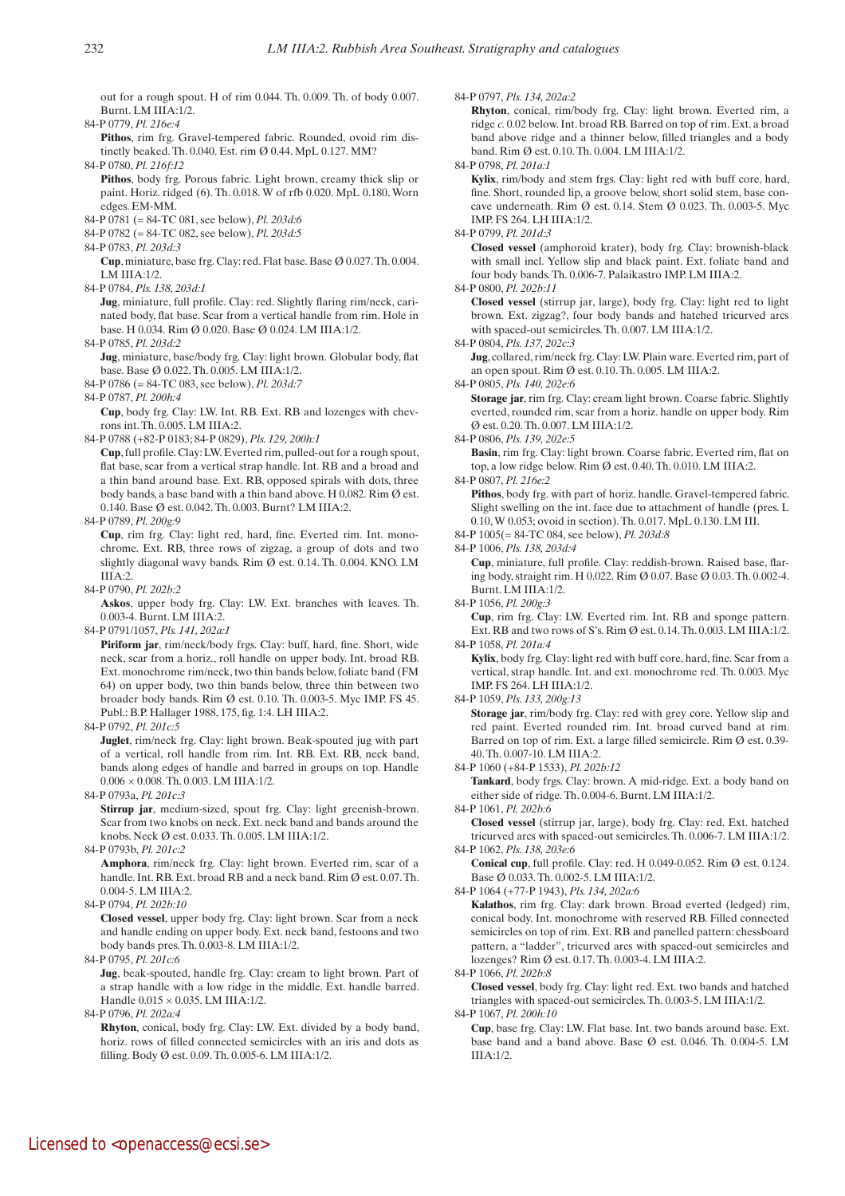out for a rough spout. H of rim 0.044. Th. 0.009. Th. of body 0.007. Burnt. LM IIIA:1/2.

84-P 0779, *Pl. 216e:4*

 **Pithos**, rim frg. Gravel-tempered fabric. Rounded, ovoid rim distinctly beaked. Th. 0.040. Est. rim Ø 0.44. MpL 0.127. MM?

84-P 0780, *Pl. 216f:12*

- **Pithos**, body frg. Porous fabric. Light brown, creamy thick slip or paint. Horiz. ridged (6). Th. 0.018. W of rfb 0.020. MpL 0.180. Worn edges. EM-MM.
- 84-P 0781 (= 84-TC 081, see below), *Pl. 203d:6*
- 84-P 0782 (= 84-TC 082, see below), *Pl. 203d:5*
- 84-P 0783, *Pl. 203d:3*

 **Cup**, miniature, base frg. Clay: red. Flat base. Base Ø 0.027. Th. 0.004. LM IIIA:1/2.

84-P 0784, *Pls. 138, 203d:1*

 **Jug**, miniature, full profile. Clay: red. Slightly flaring rim/neck, carinated body, flat base. Scar from a vertical handle from rim. Hole in base. H 0.034. Rim Ø 0.020. Base Ø 0.024. LM IIIA:1/2.

84-P 0785, *Pl. 203d:2*

- **Jug**, miniature, base/body frg. Clay: light brown. Globular body, flat base. Base Ø 0.022. Th. 0.005. LM IIIA:1/2.
- 84-P 0786 (= 84-TC 083, see below), *Pl. 203d:7*

84-P 0787, *Pl. 200h:4*

 **Cup**, body frg. Clay: LW. Int. RB. Ext. RB and lozenges with chevrons int. Th. 0.005. LM IIIA:2.

84-P 0788 (+82-P 0183; 84-P 0829), *Pls. 129, 200h:1*

 **Cup**, full profile. Clay: LW. Everted rim, pulled-out for a rough spout, flat base, scar from a vertical strap handle. Int. RB and a broad and a thin band around base. Ext. RB, opposed spirals with dots, three body bands, a base band with a thin band above. H 0.082. Rim Ø est. 0.140. Base Ø est. 0.042. Th. 0.003. Burnt? LM IIIA:2.

84-P 0789, *Pl. 200g:9*

 **Cup**, rim frg. Clay: light red, hard, fine. Everted rim. Int. monochrome. Ext. RB, three rows of zigzag, a group of dots and two slightly diagonal wavy bands. Rim Ø est. 0.14. Th. 0.004. KNO. LM  $IIIA:2.$ 

84-P 0790, *Pl. 202b:2*

 **Askos**, upper body frg. Clay: LW. Ext. branches with leaves. Th. 0.003-4. Burnt. LM IIIA:2.

84-P 0791/1057, *Pls. 141, 202a:1*

 **Piriform jar**, rim/neck/body frgs. Clay: buff, hard, fine. Short, wide neck, scar from a horiz., roll handle on upper body. Int. broad RB. Ext. monochrome rim/neck, two thin bands below, foliate band (FM 64) on upper body, two thin bands below, three thin between two broader body bands. Rim Ø est. 0.10. Th. 0.003-5. Myc IMP. FS 45. Publ.: B.P. Hallager 1988, 175, fig. 1:4. LH IIIA:2.

84-P 0792, *Pl. 201c:5*

 **Juglet**, rim/neck frg. Clay: light brown. Beak-spouted jug with part of a vertical, roll handle from rim. Int. RB. Ext. RB, neck band, bands along edges of handle and barred in groups on top. Handle 0.006 × 0.008. Th. 0.003. LM IIIA:1/2.

84-P 0793a, *Pl. 201c:3*

 **Stirrup jar**, medium-sized, spout frg. Clay: light greenish-brown. Scar from two knobs on neck. Ext. neck band and bands around the knobs. Neck Ø est. 0.033. Th. 0.005. LM IIIA:1/2.

84-P 0793b, *Pl. 201c:2*

 **Amphora**, rim/neck frg. Clay: light brown. Everted rim, scar of a handle. Int. RB. Ext. broad RB and a neck band. Rim Ø est. 0.07. Th. 0.004-5. LM IIIA:2.

84-P 0794, *Pl. 202b:10*

 **Closed vessel**, upper body frg. Clay: light brown. Scar from a neck and handle ending on upper body. Ext. neck band, festoons and two body bands pres. Th. 0.003-8. LM IIIA:1/2.

84-P 0795, *Pl. 201c:6*

**Jug**, beak-spouted, handle frg. Clay: cream to light brown. Part of a strap handle with a low ridge in the middle. Ext. handle barred. Handle 0.015 × 0.035. LM IIIA:1/2.

84-P 0796, *Pl. 202a:4* 

 **Rhyton**, conical, body frg. Clay: LW. Ext. divided by a body band, horiz. rows of filled connected semicircles with an iris and dots as filling. Body Ø est. 0.09. Th. 0.005-6. LM IIIA:1/2.

84-P 0797, *Pls. 134, 202a:2*

 **Rhyton**, conical, rim/body frg. Clay: light brown. Everted rim, a ridge *c.* 0.02 below. Int. broad RB. Barred on top of rim. Ext. a broad band above ridge and a thinner below, filled triangles and a body band. Rim Ø est. 0.10. Th. 0.004. LM IIIA:1/2.

84-P 0798, *Pl. 201a:1*

 **Kylix**, rim/body and stem frgs. Clay: light red with buff core, hard, fine. Short, rounded lip, a groove below, short solid stem, base concave underneath. Rim Ø est. 0.14. Stem Ø 0.023. Th. 0.003-5. Myc IMP. FS 264. LH IIIA:1/2.

84-P 0799, *Pl. 201d:3*

 **Closed vessel** (amphoroid krater), body frg. Clay: brownish-black with small incl. Yellow slip and black paint. Ext. foliate band and four body bands. Th. 0.006-7. Palaikastro IMP. LM IIIA:2.

84-P 0800, *Pl. 202b:11*

 **Closed vessel** (stirrup jar, large), body frg. Clay: light red to light brown. Ext. zigzag?, four body bands and hatched tricurved arcs with spaced-out semicircles. Th. 0.007. LM IIIA:1/2.

84-P 0804, *Pls. 137, 202c:3* 

 **Jug**, collared, rim/neck frg. Clay: LW. Plain ware. Everted rim, part of an open spout. Rim Ø est. 0.10. Th. 0.005. LM IIIA:2.

84-P 0805, *Pls. 140, 202e:6*

**Storage** jar, rim frg. Clay: cream light brown. Coarse fabric. Slightly everted, rounded rim, scar from a horiz. handle on upper body. Rim Ø est. 0.20. Th. 0.007. LM IIIA:1/2.

84-P 0806, *Pls. 139, 202e:5* 

 **Basin**, rim frg. Clay: light brown. Coarse fabric. Everted rim, flat on top, a low ridge below. Rim Ø est. 0.40. Th. 0.010. LM IIIA:2.

84-P 0807, *Pl. 216e:2*

Pithos, body frg. with part of horiz. handle. Gravel-tempered fabric. Slight swelling on the int. face due to attachment of handle (pres. L 0.10, W 0.053; ovoid in section). Th. 0.017. MpL 0.130. LM III.

84-P 1005(= 84-TC 084, see below), *Pl. 203d:8*

84-P 1006, *Pls. 138, 203d:4*

 **Cup**, miniature, full profile. Clay: reddish-brown. Raised base, flaring body, straight rim. H 0.022. Rim Ø 0.07. Base Ø 0.03. Th. 0.002-4. Burnt. LM IIIA:1/2.

84-P 1056, *Pl. 200g:3*

 **Cup**, rim frg. Clay: LW. Everted rim. Int. RB and sponge pattern. Ext. RB and two rows of S's. Rim Ø est. 0.14. Th. 0.003. LM IIIA:1/2. 84-P 1058, *Pl. 201a:4*

 **Kylix**, body frg. Clay: light red with buff core, hard, fine. Scar from a vertical, strap handle. Int. and ext. monochrome red. Th. 0.003. Myc IMP. FS 264. LH IIIA:1/2.

84-P 1059, *Pls. 133, 200g:13*

 **Storage jar**, rim/body frg. Clay: red with grey core. Yellow slip and red paint. Everted rounded rim. Int. broad curved band at rim. Barred on top of rim. Ext. a large filled semicircle. Rim Ø est. 0.39- 40. Th. 0.007-10. LM IIIA:2.

84-P 1060 (+84-P 1533), *Pl. 202b:12*

Tankard, body frgs. Clay: brown. A mid-ridge. Ext. a body band on either side of ridge. Th. 0.004-6. Burnt. LM IIIA:1/2.

84-P 1061, *Pl. 202b:6*

 **Closed vessel** (stirrup jar, large), body frg. Clay: red. Ext. hatched tricurved arcs with spaced-out semicircles. Th. 0.006-7. LM IIIA:1/2. 84-P 1062, *Pls. 138, 203e:6*

 **Conical cup**, full profile. Clay: red. H 0.049-0.052. Rim Ø est. 0.124. Base Ø 0.033. Th. 0.002-5. LM IIIA:1/2.

84-P 1064 (+77-P 1943), *Pls. 134, 202a:6*

 **Kalathos**, rim frg. Clay: dark brown. Broad everted (ledged) rim, conical body. Int. monochrome with reserved RB. Filled connected semicircles on top of rim. Ext. RB and panelled pattern: chessboard pattern, a "ladder", tricurved arcs with spaced-out semicircles and lozenges? Rim Ø est. 0.17. Th. 0.003-4. LM IIIA:2.

84-P 1066, *Pl. 202b:8*

 **Closed vessel**, body frg. Clay: light red. Ext. two bands and hatched triangles with spaced-out semicircles. Th. 0.003-5. LM IIIA:1/2. 84-P 1067, *Pl. 200h:10*

 **Cup**, base frg. Clay: LW. Flat base. Int. two bands around base. Ext. base band and a band above. Base Ø est. 0.046. Th. 0.004-5. LM IIIA:1/2.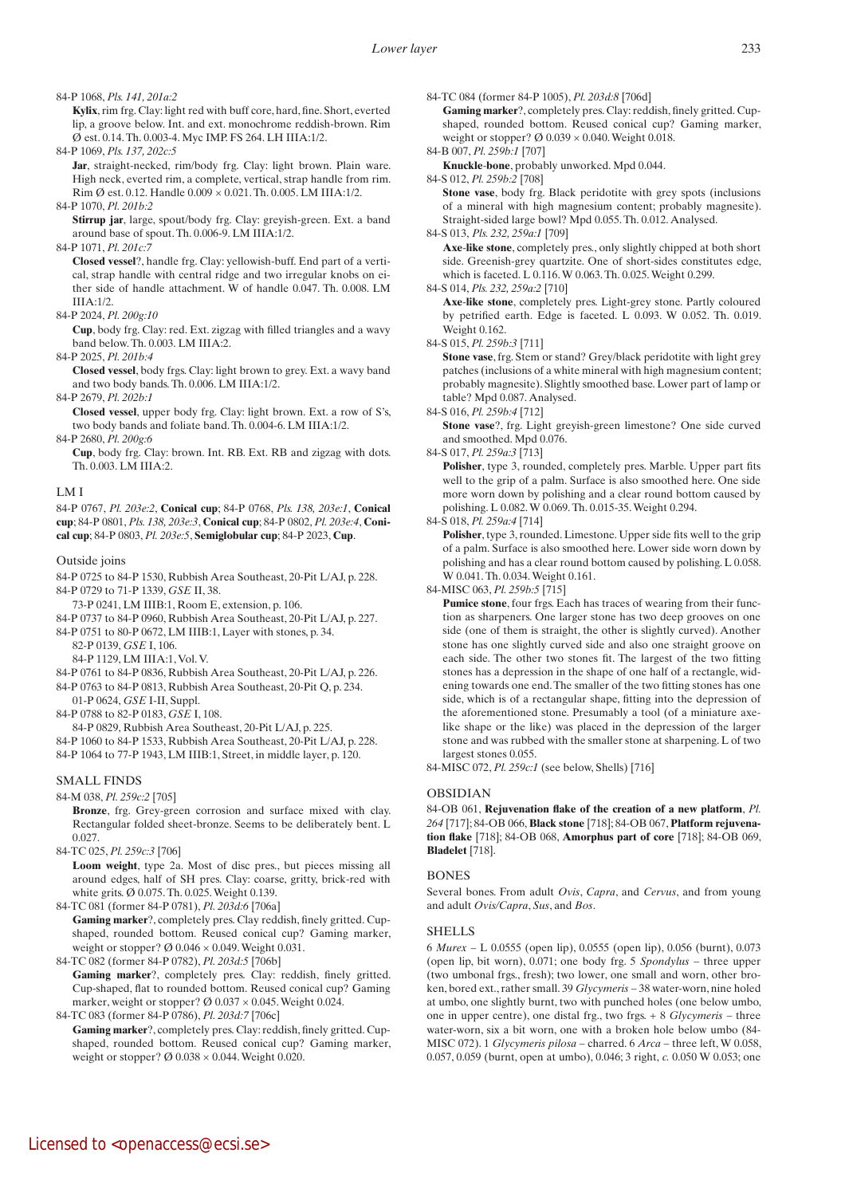#### 84-P 1068, *Pls. 141, 201a:2*

 **Kylix**, rim frg. Clay: light red with buff core, hard, fine. Short, everted lip, a groove below. Int. and ext. monochrome reddish-brown. Rim Ø est. 0.14. Th. 0.003-4. Myc IMP. FS 264. LH IIIA:1/2.

84-P 1069, *Pls. 137, 202c:5* 

Jar, straight-necked, rim/body frg. Clay: light brown. Plain ware. High neck, everted rim, a complete, vertical, strap handle from rim. Rim Ø est. 0.12. Handle 0.009 × 0.021. Th. 0.005. LM IIIA:1/2.

84-P 1070, *Pl. 201b:2*

 **Stirrup jar**, large, spout/body frg. Clay: greyish-green. Ext. a band around base of spout. Th. 0.006-9. LM IIIA:1/2.

84-P 1071, *Pl. 201c:7*

 **Closed vessel**?, handle frg. Clay: yellowish-buff. End part of a vertical, strap handle with central ridge and two irregular knobs on either side of handle attachment. W of handle 0.047. Th. 0.008. LM IIIA:1/2.

84-P 2024, *Pl. 200g:10*

 **Cup**, body frg. Clay: red. Ext. zigzag with filled triangles and a wavy band below. Th. 0.003. LM IIIA:2.

84-P 2025, *Pl. 201b:4*

 **Closed vessel**, body frgs. Clay: light brown to grey. Ext. a wavy band and two body bands. Th. 0.006. LM IIIA:1/2.

84-P 2679, *Pl. 202b:1*

 **Closed vessel**, upper body frg. Clay: light brown. Ext. a row of S's, two body bands and foliate band. Th. 0.004-6. LM IIIA:1/2.

84-P 2680, *Pl. 200g:6*

 **Cup**, body frg. Clay: brown. Int. RB. Ext. RB and zigzag with dots. Th. 0.003. LM IIIA:2.

LM I

84-P 0767, *Pl. 203e:2*, **Conical cup**; 84-P 0768, *Pls. 138, 203e:1*, **Conical cup**; 84-P 0801, *Pls. 138, 203e:3*, **Conical cup**; 84-P 0802, *Pl. 203e:4*, **Conical cup**; 84-P 0803, *Pl. 203e:5*, **Semiglobular cup**; 84-P 2023, **Cup**.

#### Outside joins

84-P 0725 to 84-P 1530, Rubbish Area Southeast, 20-Pit L/AJ, p. 228. 84-P 0729 to 71-P 1339, *GSE* II, 38.

73-P 0241, LM IIIB:1, Room E, extension, p. 106.

84-P 0737 to 84-P 0960, Rubbish Area Southeast, 20-Pit L/AJ, p. 227. 84-P 0751 to 80-P 0672, LM IIIB:1, Layer with stones, p. 34.

82-P 0139, *GSE* I, 106.

- 84-P 1129, LM IIIA:1, Vol. V.
- 84-P 0761 to 84-P 0836, Rubbish Area Southeast, 20-Pit L/AJ, p. 226.
- 84-P 0763 to 84-P 0813, Rubbish Area Southeast, 20-Pit Q, p. 234. 01-P 0624, *GSE* I-II, Suppl.

84-P 0788 to 82-P 0183, *GSE* I, 108.

84-P 0829, Rubbish Area Southeast, 20-Pit L/AJ, p. 225.

84-P 1060 to 84-P 1533, Rubbish Area Southeast, 20-Pit L/AJ, p. 228.

84-P 1064 to 77-P 1943, LM IIIB:1, Street, in middle layer, p. 120.

## SMALL FINDS

84-M 038, *Pl. 259c:2* [705]

 **Bronze**, frg. Grey-green corrosion and surface mixed with clay. Rectangular folded sheet-bronze. Seems to be deliberately bent. L 0.027

84-TC 025, *Pl. 259c:3* [706]

 **Loom weight**, type 2a. Most of disc pres., but pieces missing all around edges, half of SH pres. Clay: coarse, gritty, brick-red with white grits. Ø 0.075. Th. 0.025. Weight 0.139.

84-TC 081 (former 84-P 0781), *Pl. 203d:6* [706a]

 **Gaming marker**?, completely pres. Clay reddish, finely gritted. Cupshaped, rounded bottom. Reused conical cup? Gaming marker, weight or stopper?  $\varnothing$  0.046  $\times$  0.049. Weight 0.031.

84-TC 082 (former 84-P 0782), *Pl. 203d:5* [706b]

 **Gaming marker**?, completely pres. Clay: reddish, finely gritted. Cup-shaped, flat to rounded bottom. Reused conical cup? Gaming marker, weight or stopper? Ø  $0.037 \times 0.045$ . Weight 0.024.

```
84-TC 083 (former 84-P 0786), Pl. 203d:7 [706c]
```
 **Gaming marker**?, completely pres. Clay: reddish, finely gritted. Cupshaped, rounded bottom. Reused conical cup? Gaming marker, weight or stopper?  $\varnothing$  0.038  $\times$  0.044. Weight 0.020.

84-TC 084 (former 84-P 1005), *Pl. 203d:8* [706d]

 **Gaming marker**?, completely pres. Clay: reddish, finely gritted. Cupshaped, rounded bottom. Reused conical cup? Gaming marker, weight or stopper?  $\varnothing$  0.039  $\times$  0.040. Weight 0.018.

84-B 007, *Pl. 259b:1* [707]  **Knuckle**-**bone**, probably unworked. Mpd 0.044.

84-S 012, *Pl. 259b:2* [708]

 **Stone vase**, body frg. Black peridotite with grey spots (inclusions of a mineral with high magnesium content; probably magnesite). Straight-sided large bowl? Mpd 0.055. Th. 0.012. Analysed.

84-S 013, *Pls. 232, 259a:1* [709]

 **Axe**-**like stone**, completely pres., only slightly chipped at both short side. Greenish-grey quartzite. One of short-sides constitutes edge, which is faceted. L 0.116. W 0.063. Th. 0.025. Weight 0.299.

84-S 014, *Pls. 232, 259a:2* [710]

 **Axe**-**like stone**, completely pres. Light-grey stone. Partly coloured by petrified earth. Edge is faceted. L 0.093. W 0.052. Th. 0.019. Weight 0.162.

84-S 015, *Pl. 259b:3* [711]

**Stone vase**, frg. Stem or stand? Grey/black peridotite with light grey patches (inclusions of a white mineral with high magnesium content; probably magnesite). Slightly smoothed base. Lower part of lamp or table? Mpd 0.087. Analysed.

84-S 016, *Pl. 259b:4* [712]

 **Stone vase**?, frg. Light greyish-green limestone? One side curved and smoothed. Mpd 0.076.

84-S 017, *Pl. 259a:3* [713]

 **Polisher**, type 3, rounded, completely pres. Marble. Upper part fits well to the grip of a palm. Surface is also smoothed here. One side more worn down by polishing and a clear round bottom caused by polishing. L 0.082. W 0.069. Th. 0.015-35. Weight 0.294.

84-S 018, *Pl. 259a:4* [714]

Polisher, type 3, rounded. Limestone. Upper side fits well to the grip of a palm. Surface is also smoothed here. Lower side worn down by polishing and has a clear round bottom caused by polishing. L 0.058. W 0.041. Th. 0.034. Weight 0.161.

84-MISC 063, *Pl. 259b:5* [715]

Pumice stone, four frgs. Each has traces of wearing from their function as sharpeners. One larger stone has two deep grooves on one side (one of them is straight, the other is slightly curved). Another stone has one slightly curved side and also one straight groove on each side. The other two stones fit. The largest of the two fitting stones has a depression in the shape of one half of a rectangle, widening towards one end. The smaller of the two fitting stones has one side, which is of a rectangular shape, fitting into the depression of the aforementioned stone. Presumably a tool (of a miniature axelike shape or the like) was placed in the depression of the larger stone and was rubbed with the smaller stone at sharpening. L of two largest stones 0.055.

84-MISC 072, *Pl. 259c:1* (see below, Shells) [716]

## OBSIDIAN

84-OB 061, **Rejuvenation flake of the creation of a new platform**, *Pl. 264* [717]; 84-OB 066, **Black stone** [718]; 84-OB 067, **Platform rejuvenation flake** [718]; 84-OB 068, **Amorphus part of core** [718]; 84-OB 069, **Bladelet** [718].

## **BONES**

Several bones. From adult *Ovis*, *Capra*, and *Cervus*, and from young and adult *Ovis/Capra*, *Sus*, and *Bos*.

## **SHELLS**

6 *Murex* – L 0.0555 (open lip), 0.0555 (open lip), 0.056 (burnt), 0.073 (open lip, bit worn), 0.071; one body frg. 5 *Spondylus* – three upper (two umbonal frgs., fresh); two lower, one small and worn, other broken, bored ext., rather small. 39 *Glycymeris* – 38 water-worn, nine holed at umbo, one slightly burnt, two with punched holes (one below umbo, one in upper centre), one distal frg., two frgs. + 8 *Glycymeris* – three water-worn, six a bit worn, one with a broken hole below umbo (84- MISC 072). 1 *Glycymeris pilosa* – charred. 6 *Arca* – three left, W 0.058, 0.057, 0.059 (burnt, open at umbo), 0.046; 3 right, *c.* 0.050 W 0.053; one